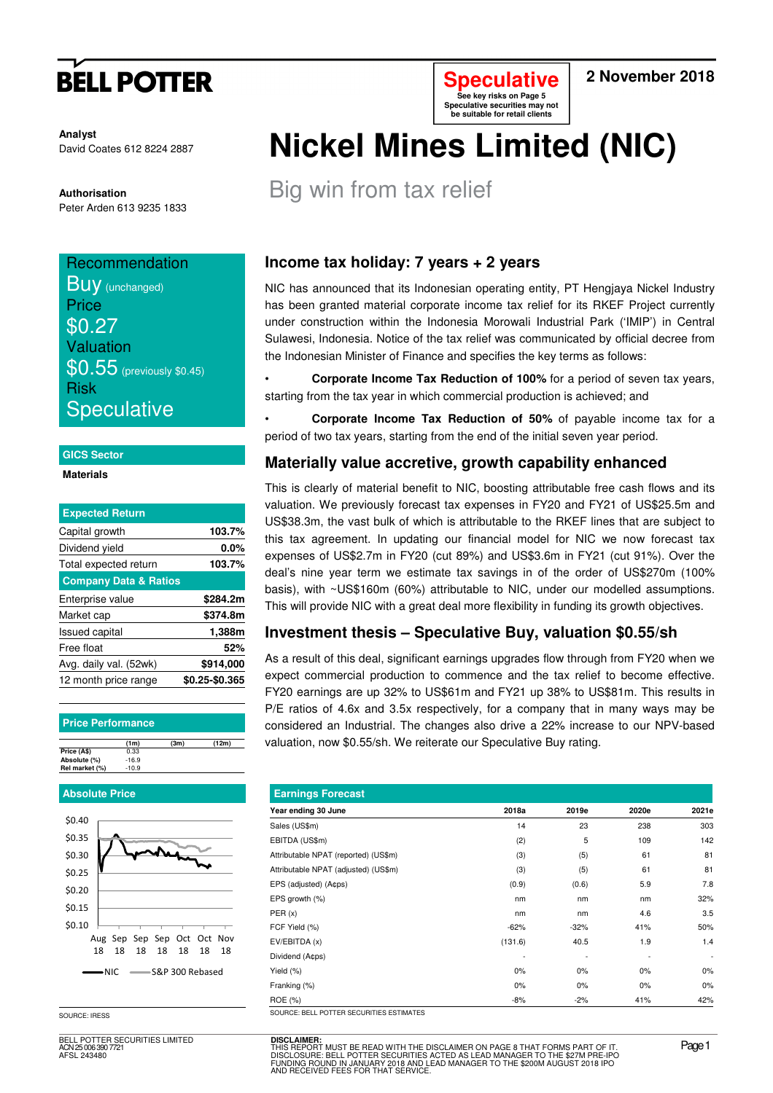# **BELL POTTER**

**Analyst** David Coates 612 8224 2887

**Authorisation**  Peter Arden 613 9235 1833

## **Recommendation BUV** (unchanged) **Price** \$0.27 Valuation  $$0.55$  (previously \$0.45) Risk **Speculative**

#### **GICS Sector**

**Materials** 

| <b>Expected Return</b>           |                |
|----------------------------------|----------------|
| Capital growth                   | 103.7%         |
| Dividend yield                   | $0.0\%$        |
| Total expected return            | 103.7%         |
| <b>Company Data &amp; Ratios</b> |                |
| Enterprise value                 | \$284.2m       |
| Market cap                       | \$374.8m       |
| <b>Issued capital</b>            | 1,388m         |
| Free float                       | 52%            |
| Avg. daily val. (52wk)           | \$914,000      |
| 12 month price range             | \$0.25-\$0.365 |

#### **Price Performance**

|                | (1m)    | (3m) | (12m) |
|----------------|---------|------|-------|
| Price (A\$)    | 0.33    |      |       |
| Absolute (%)   | $-16.9$ |      |       |
| Rel market (%) | $-10.9$ |      |       |

#### **Absolute Price**



SOURCE: IRESS

BELL POTTER SECURITIES LIMITED ACN 25 006 390 7721 AFSL 243480



### **2 November 2018**

# **Nickel Mines Limited (NIC)**

Big win from tax relief

## **Income tax holiday: 7 years + 2 years**

NIC has announced that its Indonesian operating entity, PT Hengjaya Nickel Industry has been granted material corporate income tax relief for its RKEF Project currently under construction within the Indonesia Morowali Industrial Park ('IMIP') in Central Sulawesi, Indonesia. Notice of the tax relief was communicated by official decree from the Indonesian Minister of Finance and specifies the key terms as follows:

• **Corporate Income Tax Reduction of 100%** for a period of seven tax years, starting from the tax year in which commercial production is achieved; and

• **Corporate Income Tax Reduction of 50%** of payable income tax for a period of two tax years, starting from the end of the initial seven year period.

### **Materially value accretive, growth capability enhanced**

This is clearly of material benefit to NIC, boosting attributable free cash flows and its valuation. We previously forecast tax expenses in FY20 and FY21 of US\$25.5m and US\$38.3m, the vast bulk of which is attributable to the RKEF lines that are subject to this tax agreement. In updating our financial model for NIC we now forecast tax expenses of US\$2.7m in FY20 (cut 89%) and US\$3.6m in FY21 (cut 91%). Over the deal's nine year term we estimate tax savings in of the order of US\$270m (100% basis), with ~US\$160m (60%) attributable to NIC, under our modelled assumptions. This will provide NIC with a great deal more flexibility in funding its growth objectives.

### **Investment thesis – Speculative Buy, valuation \$0.55/sh**

As a result of this deal, significant earnings upgrades flow through from FY20 when we expect commercial production to commence and the tax relief to become effective. FY20 earnings are up 32% to US\$61m and FY21 up 38% to US\$81m. This results in P/E ratios of 4.6x and 3.5x respectively, for a company that in many ways may be considered an Industrial. The changes also drive a 22% increase to our NPV-based valuation, now \$0.55/sh. We reiterate our Speculative Buy rating.

| <b>Earnings Forecast</b>                 |         |        |       |                          |  |  |  |  |  |  |  |
|------------------------------------------|---------|--------|-------|--------------------------|--|--|--|--|--|--|--|
| Year ending 30 June                      | 2018a   | 2019e  | 2020e | 2021e                    |  |  |  |  |  |  |  |
| Sales (US\$m)                            | 14      | 23     | 238   | 303                      |  |  |  |  |  |  |  |
| EBITDA (US\$m)                           | (2)     | 5      | 109   | 142                      |  |  |  |  |  |  |  |
| Attributable NPAT (reported) (US\$m)     | (3)     | (5)    | 61    | 81                       |  |  |  |  |  |  |  |
| Attributable NPAT (adjusted) (US\$m)     | (3)     | (5)    | 61    | 81                       |  |  |  |  |  |  |  |
| EPS (adjusted) (A¢ps)                    | (0.9)   | (0.6)  | 5.9   | 7.8                      |  |  |  |  |  |  |  |
| EPS growth (%)                           | nm      | nm     | nm    | 32%                      |  |  |  |  |  |  |  |
| PER(x)                                   | nm      | nm     | 4.6   | 3.5                      |  |  |  |  |  |  |  |
| FCF Yield (%)                            | $-62%$  | $-32%$ | 41%   | 50%                      |  |  |  |  |  |  |  |
| EV/EBITDA (x)                            | (131.6) | 40.5   | 1.9   | 1.4                      |  |  |  |  |  |  |  |
| Dividend (A¢ps)                          |         |        |       | $\overline{\phantom{a}}$ |  |  |  |  |  |  |  |
| Yield (%)                                | $0\%$   | 0%     | $0\%$ | $0\%$                    |  |  |  |  |  |  |  |
| Franking (%)                             | $0\%$   | 0%     | $0\%$ | 0%                       |  |  |  |  |  |  |  |
| ROE (%)                                  | -8%     | $-2%$  | 41%   | 42%                      |  |  |  |  |  |  |  |
| SOURCE: RELL POTTER SECURITIES ESTIMATES |         |        |       |                          |  |  |  |  |  |  |  |

**DISCLAIMER:**<br>THIS REPORT MUST BE READ WITH THE DISCLAIMER ON PAGE 8 THAT FORMS PART OF IT.<br>DISCLOSURE: BELL POTTER SECURITIES ACTED AS LEAD MANAGER TO THE \$27M PRE-IPO<br>FUNDING ROUND IN JANUARY 2018 AND LEAD MANAGER TO THE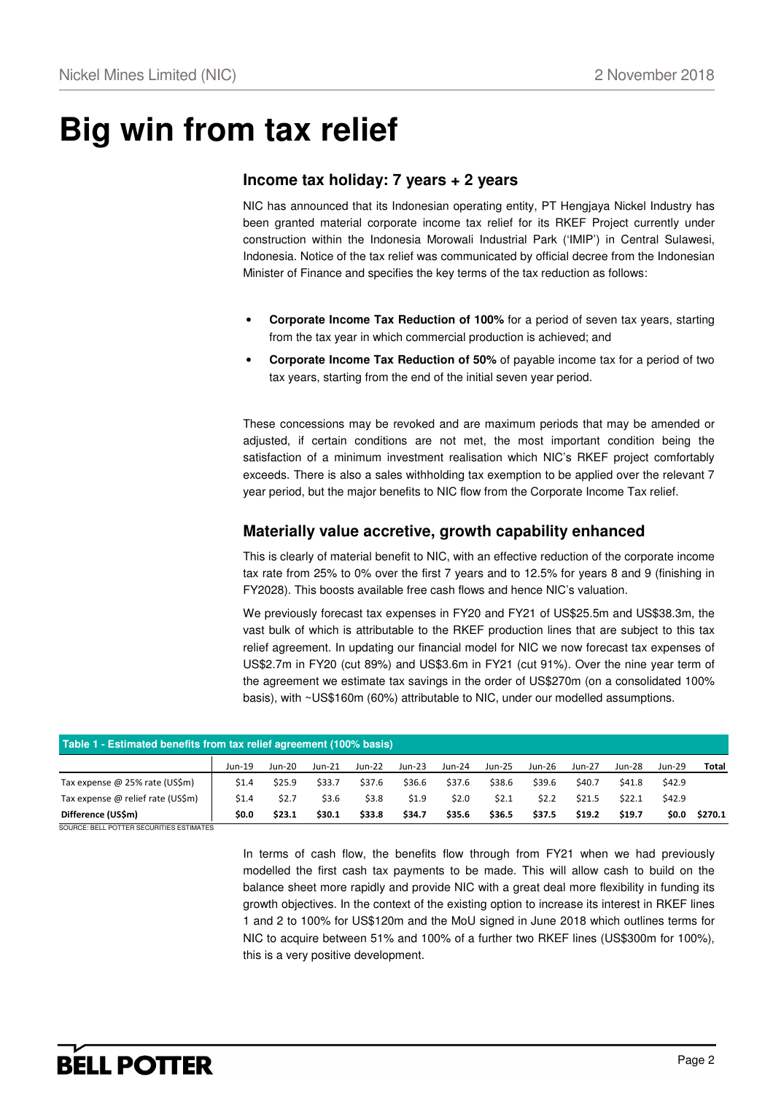## **Big win from tax relief**

#### **Income tax holiday: 7 years + 2 years**

NIC has announced that its Indonesian operating entity, PT Hengjaya Nickel Industry has been granted material corporate income tax relief for its RKEF Project currently under construction within the Indonesia Morowali Industrial Park ('IMIP') in Central Sulawesi, Indonesia. Notice of the tax relief was communicated by official decree from the Indonesian Minister of Finance and specifies the key terms of the tax reduction as follows:

- **Corporate Income Tax Reduction of 100%** for a period of seven tax years, starting from the tax year in which commercial production is achieved; and
- **Corporate Income Tax Reduction of 50%** of payable income tax for a period of two tax years, starting from the end of the initial seven year period.

These concessions may be revoked and are maximum periods that may be amended or adjusted, if certain conditions are not met, the most important condition being the satisfaction of a minimum investment realisation which NIC's RKEF project comfortably exceeds. There is also a sales withholding tax exemption to be applied over the relevant 7 year period, but the major benefits to NIC flow from the Corporate Income Tax relief.

#### **Materially value accretive, growth capability enhanced**

This is clearly of material benefit to NIC, with an effective reduction of the corporate income tax rate from 25% to 0% over the first 7 years and to 12.5% for years 8 and 9 (finishing in FY2028). This boosts available free cash flows and hence NIC's valuation.

We previously forecast tax expenses in FY20 and FY21 of US\$25.5m and US\$38.3m, the vast bulk of which is attributable to the RKEF production lines that are subject to this tax relief agreement. In updating our financial model for NIC we now forecast tax expenses of US\$2.7m in FY20 (cut 89%) and US\$3.6m in FY21 (cut 91%). Over the nine year term of the agreement we estimate tax savings in the order of US\$270m (on a consolidated 100% basis), with ~US\$160m (60%) attributable to NIC, under our modelled assumptions.

| Table 1 - Estimated benefits from tax relief agreement (100% basis) |          |          |          |          |          |          |        |        |          |        |          |         |
|---------------------------------------------------------------------|----------|----------|----------|----------|----------|----------|--------|--------|----------|--------|----------|---------|
|                                                                     | $Jun-19$ | $Jun-20$ | $Jun-21$ | $Jun-22$ | $Jun-23$ | $Jun-24$ | Jun-25 | Jun-26 | $Jun-27$ | Jun-28 | $Jun-29$ | Total   |
| Tax expense @ 25% rate (US\$m)                                      | \$1.4    | \$25.9   | \$33.7   | \$37.6   | \$36.6   | \$37.6   | \$38.6 | \$39.6 | \$40.7   | \$41.8 | \$42.9   |         |
| Tax expense @ relief rate (US\$m)                                   | \$1.4    | \$2.7    | \$3.6    | \$3.8    | \$1.9    | \$2.0    | \$2.1  | \$2.2  | \$21.5   | \$22.1 | \$42.9   |         |
| Difference (US\$m)                                                  | \$0.0    | \$23.1   | \$30.1   | \$33.8   | \$34.7   | \$35.6   | \$36.5 | \$37.5 | \$19.2   | \$19.7 | \$0.0    | \$270.1 |
| SOURCE: BELL POTTER SECURITIES ESTIMATES                            |          |          |          |          |          |          |        |        |          |        |          |         |

In terms of cash flow, the benefits flow through from FY21 when we had previously modelled the first cash tax payments to be made. This will allow cash to build on the balance sheet more rapidly and provide NIC with a great deal more flexibility in funding its growth objectives. In the context of the existing option to increase its interest in RKEF lines 1 and 2 to 100% for US\$120m and the MoU signed in June 2018 which outlines terms for NIC to acquire between 51% and 100% of a further two RKEF lines (US\$300m for 100%), this is a very positive development.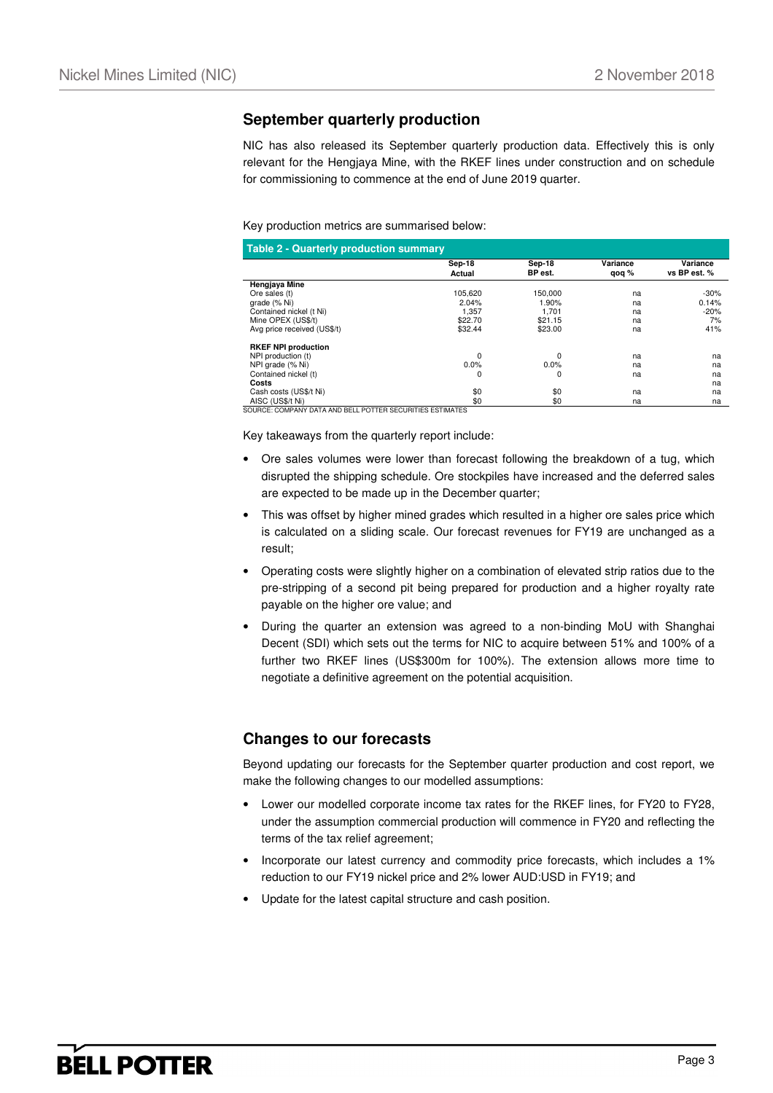### **September quarterly production**

NIC has also released its September quarterly production data. Effectively this is only relevant for the Hengjaya Mine, with the RKEF lines under construction and on schedule for commissioning to commence at the end of June 2019 quarter.

#### Key production metrics are summarised below:

|                             | Sep-18  | Sep-18  | Variance | Variance     |
|-----------------------------|---------|---------|----------|--------------|
|                             | Actual  | BP est. | qoq %    | vs BP est. % |
| Hengjaya Mine               |         |         |          |              |
| Ore sales (t)               | 105,620 | 150,000 | na       | $-30%$       |
| grade (% Ni)                | 2.04%   | 1.90%   | na       | 0.14%        |
| Contained nickel (t Ni)     | 1.357   | 1.701   | na       | $-20%$       |
| Mine OPEX (US\$/t)          | \$22.70 | \$21.15 | na       | 7%           |
| Avg price received (US\$/t) | \$32.44 | \$23.00 | na       | 41%          |
| <b>RKEF NPI production</b>  |         |         |          |              |
| NPI production (t)          | 0       | 0       | na       | na           |
| NPI grade (% Ni)            | 0.0%    | 0.0%    | na       | na           |
| Contained nickel (t)        | 0       | 0       | na       | na           |
| Costs                       |         |         |          | na           |
| Cash costs (US\$/t Ni)      | \$0     | \$0     | na       | na           |
| AISC (US\$/t Ni)            | \$0     | \$0     | na       | na           |

SOURCE: COMPANY DATA AND BELL POTTER SECURITIES ESTIMATES

Key takeaways from the quarterly report include:

- Ore sales volumes were lower than forecast following the breakdown of a tug, which disrupted the shipping schedule. Ore stockpiles have increased and the deferred sales are expected to be made up in the December quarter;
- This was offset by higher mined grades which resulted in a higher ore sales price which is calculated on a sliding scale. Our forecast revenues for FY19 are unchanged as a result;
- Operating costs were slightly higher on a combination of elevated strip ratios due to the pre-stripping of a second pit being prepared for production and a higher royalty rate payable on the higher ore value; and
- During the quarter an extension was agreed to a non-binding MoU with Shanghai Decent (SDI) which sets out the terms for NIC to acquire between 51% and 100% of a further two RKEF lines (US\$300m for 100%). The extension allows more time to negotiate a definitive agreement on the potential acquisition.

### **Changes to our forecasts**

Beyond updating our forecasts for the September quarter production and cost report, we make the following changes to our modelled assumptions:

- Lower our modelled corporate income tax rates for the RKEF lines, for FY20 to FY28, under the assumption commercial production will commence in FY20 and reflecting the terms of the tax relief agreement;
- Incorporate our latest currency and commodity price forecasts, which includes a 1% reduction to our FY19 nickel price and 2% lower AUD:USD in FY19; and
- Update for the latest capital structure and cash position.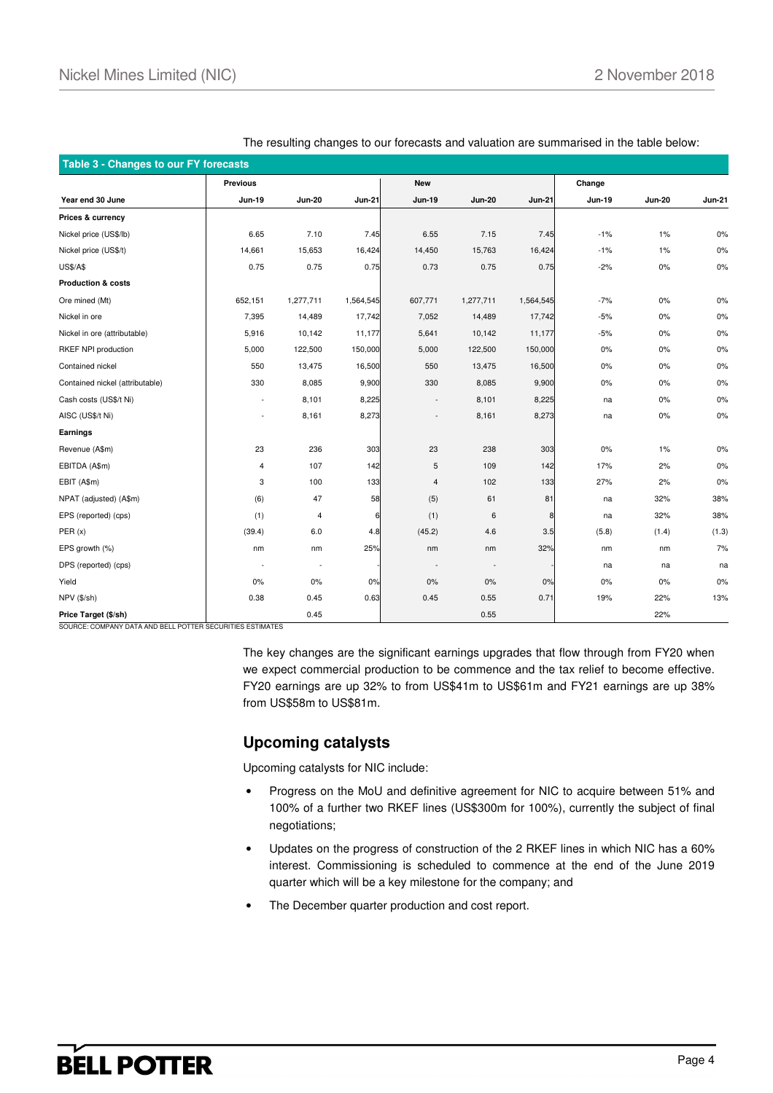| Table 3 - Changes to our FY forecasts |                          |                          |               |               |                          |               |               |               |               |  |  |
|---------------------------------------|--------------------------|--------------------------|---------------|---------------|--------------------------|---------------|---------------|---------------|---------------|--|--|
|                                       | Previous                 |                          |               | <b>New</b>    |                          |               | Change        |               |               |  |  |
| Year end 30 June                      | <b>Jun-19</b>            | <b>Jun-20</b>            | <b>Jun-21</b> | <b>Jun-19</b> | <b>Jun-20</b>            | <b>Jun-21</b> | <b>Jun-19</b> | <b>Jun-20</b> | <b>Jun-21</b> |  |  |
| Prices & currency                     |                          |                          |               |               |                          |               |               |               |               |  |  |
| Nickel price (US\$/lb)                | 6.65                     | 7.10                     | 7.45          | 6.55          | 7.15                     | 7.45          | $-1%$         | 1%            | 0%            |  |  |
| Nickel price (US\$/t)                 | 14,661                   | 15,653                   | 16,424        | 14,450        | 15,763                   | 16,424        | $-1%$         | 1%            | $0\%$         |  |  |
| <b>US\$/A\$</b>                       | 0.75                     | 0.75                     | 0.75          | 0.73          | 0.75                     | 0.75          | $-2%$         | 0%            | 0%            |  |  |
| <b>Production &amp; costs</b>         |                          |                          |               |               |                          |               |               |               |               |  |  |
| Ore mined (Mt)                        | 652,151                  | 1,277,711                | 1,564,545     | 607,771       | 1,277,711                | 1,564,545     | $-7%$         | 0%            | $0\%$         |  |  |
| Nickel in ore                         | 7,395                    | 14,489                   | 17,742        | 7,052         | 14,489                   | 17,742        | $-5%$         | 0%            | 0%            |  |  |
| Nickel in ore (attributable)          | 5,916                    | 10,142                   | 11,177        | 5,641         | 10,142                   | 11,177        | $-5%$         | 0%            | $0\%$         |  |  |
| RKEF NPI production                   | 5,000                    | 122,500                  | 150,000       | 5,000         | 122,500                  | 150,000       | $0\%$         | 0%            | $0\%$         |  |  |
| Contained nickel                      | 550                      | 13,475                   | 16,500        | 550           | 13,475                   | 16,500        | 0%            | 0%            | 0%            |  |  |
| Contained nickel (attributable)       | 330                      | 8,085                    | 9,900         | 330           | 8,085                    | 9,900         | 0%            | 0%            | $0\%$         |  |  |
| Cash costs (US\$/t Ni)                | $\blacksquare$           | 8,101                    | 8,225         |               | 8,101                    | 8,225         | na            | 0%            | $0\%$         |  |  |
| AISC (US\$/t Ni)                      | $\overline{\phantom{a}}$ | 8,161                    | 8,273         |               | 8,161                    | 8,273         | na            | 0%            | 0%            |  |  |
| Earnings                              |                          |                          |               |               |                          |               |               |               |               |  |  |
| Revenue (A\$m)                        | 23                       | 236                      | 303           | 23            | 238                      | 303           | 0%            | 1%            | 0%            |  |  |
| EBITDA (A\$m)                         | 4                        | 107                      | 142           | 5             | 109                      | 142           | 17%           | 2%            | 0%            |  |  |
| EBIT (A\$m)                           | 3                        | 100                      | 133           | 4             | 102                      | 133           | 27%           | 2%            | 0%            |  |  |
| NPAT (adjusted) (A\$m)                | (6)                      | 47                       | 58            | (5)           | 61                       | 81            | na            | 32%           | 38%           |  |  |
| EPS (reported) (cps)                  | (1)                      | $\overline{4}$           | 6             | (1)           | 6                        | 8             | na            | 32%           | 38%           |  |  |
| PER(x)                                | (39.4)                   | 6.0                      | 4.8           | (45.2)        | 4.6                      | 3.5           | (5.8)         | (1.4)         | (1.3)         |  |  |
| EPS growth (%)                        | nm                       | nm                       | 25%           | nm            | nm                       | 32%           | nm            | nm            | 7%            |  |  |
| DPS (reported) (cps)                  |                          | $\overline{\phantom{a}}$ |               |               | $\overline{\phantom{a}}$ |               | na            | na            | na            |  |  |
| Yield                                 | 0%                       | $0\%$                    | 0%            | 0%            | 0%                       | 0%            | 0%            | 0%            | 0%            |  |  |
| NPV (\$/sh)                           | 0.38                     | 0.45                     | 0.63          | 0.45          | 0.55                     | 0.71          | 19%           | 22%           | 13%           |  |  |
| Price Target (\$/sh)                  |                          | 0.45                     |               |               | 0.55                     |               |               | 22%           |               |  |  |

The resulting changes to our forecasts and valuation are summarised in the table below:

SOURCE: COMPANY DATA AND BELL POTTER SECURITIES ESTIMATES

The key changes are the significant earnings upgrades that flow through from FY20 when we expect commercial production to be commence and the tax relief to become effective. FY20 earnings are up 32% to from US\$41m to US\$61m and FY21 earnings are up 38% from US\$58m to US\$81m.

#### **Upcoming catalysts**

Upcoming catalysts for NIC include:

- Progress on the MoU and definitive agreement for NIC to acquire between 51% and 100% of a further two RKEF lines (US\$300m for 100%), currently the subject of final negotiations;
- Updates on the progress of construction of the 2 RKEF lines in which NIC has a 60% interest. Commissioning is scheduled to commence at the end of the June 2019 quarter which will be a key milestone for the company; and
- The December quarter production and cost report.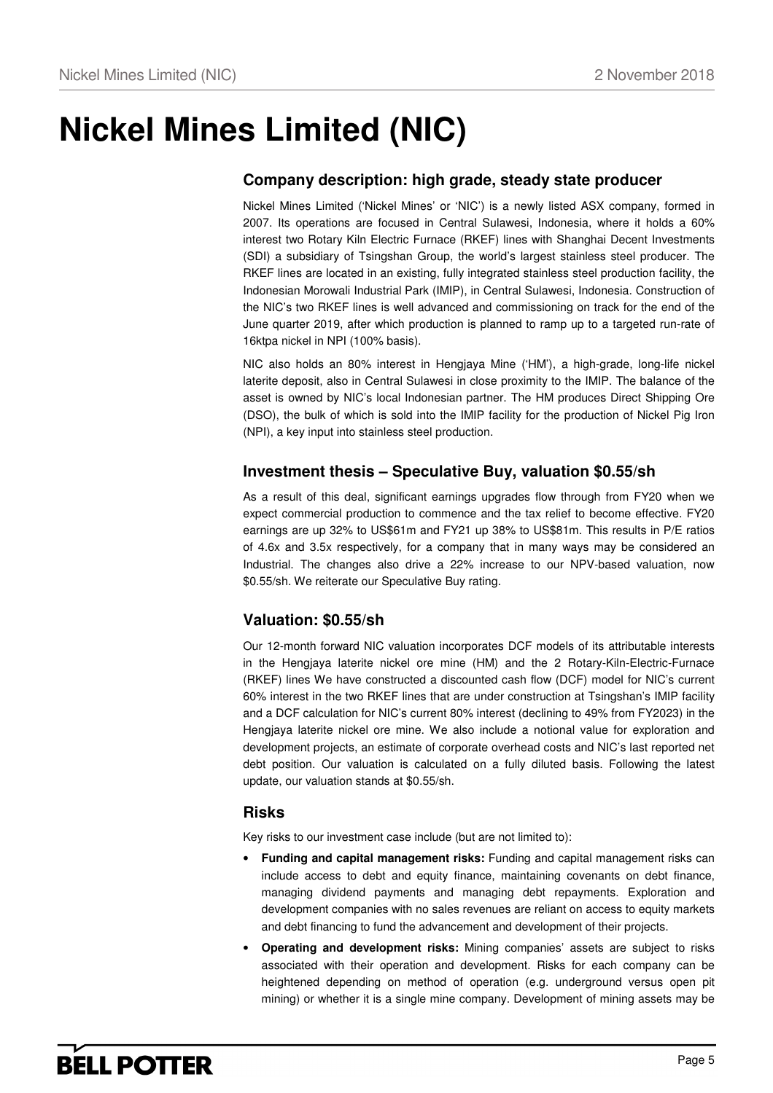## **Nickel Mines Limited (NIC)**

### **Company description: high grade, steady state producer**

Nickel Mines Limited ('Nickel Mines' or 'NIC') is a newly listed ASX company, formed in 2007. Its operations are focused in Central Sulawesi, Indonesia, where it holds a 60% interest two Rotary Kiln Electric Furnace (RKEF) lines with Shanghai Decent Investments (SDI) a subsidiary of Tsingshan Group, the world's largest stainless steel producer. The RKEF lines are located in an existing, fully integrated stainless steel production facility, the Indonesian Morowali Industrial Park (IMIP), in Central Sulawesi, Indonesia. Construction of the NIC's two RKEF lines is well advanced and commissioning on track for the end of the June quarter 2019, after which production is planned to ramp up to a targeted run-rate of 16ktpa nickel in NPI (100% basis).

NIC also holds an 80% interest in Hengjaya Mine ('HM'), a high-grade, long-life nickel laterite deposit, also in Central Sulawesi in close proximity to the IMIP. The balance of the asset is owned by NIC's local Indonesian partner. The HM produces Direct Shipping Ore (DSO), the bulk of which is sold into the IMIP facility for the production of Nickel Pig Iron (NPI), a key input into stainless steel production.

### **Investment thesis – Speculative Buy, valuation \$0.55/sh**

As a result of this deal, significant earnings upgrades flow through from FY20 when we expect commercial production to commence and the tax relief to become effective. FY20 earnings are up 32% to US\$61m and FY21 up 38% to US\$81m. This results in P/E ratios of 4.6x and 3.5x respectively, for a company that in many ways may be considered an Industrial. The changes also drive a 22% increase to our NPV-based valuation, now \$0.55/sh. We reiterate our Speculative Buy rating.

## **Valuation: \$0.55/sh**

Our 12-month forward NIC valuation incorporates DCF models of its attributable interests in the Hengjaya laterite nickel ore mine (HM) and the 2 Rotary-Kiln-Electric-Furnace (RKEF) lines We have constructed a discounted cash flow (DCF) model for NIC's current 60% interest in the two RKEF lines that are under construction at Tsingshan's IMIP facility and a DCF calculation for NIC's current 80% interest (declining to 49% from FY2023) in the Hengjaya laterite nickel ore mine. We also include a notional value for exploration and development projects, an estimate of corporate overhead costs and NIC's last reported net debt position. Our valuation is calculated on a fully diluted basis. Following the latest update, our valuation stands at \$0.55/sh.

### **Risks**

Key risks to our investment case include (but are not limited to):

- **Funding and capital management risks:** Funding and capital management risks can include access to debt and equity finance, maintaining covenants on debt finance, managing dividend payments and managing debt repayments. Exploration and development companies with no sales revenues are reliant on access to equity markets and debt financing to fund the advancement and development of their projects.
- **Operating and development risks:** Mining companies' assets are subject to risks associated with their operation and development. Risks for each company can be heightened depending on method of operation (e.g. underground versus open pit mining) or whether it is a single mine company. Development of mining assets may be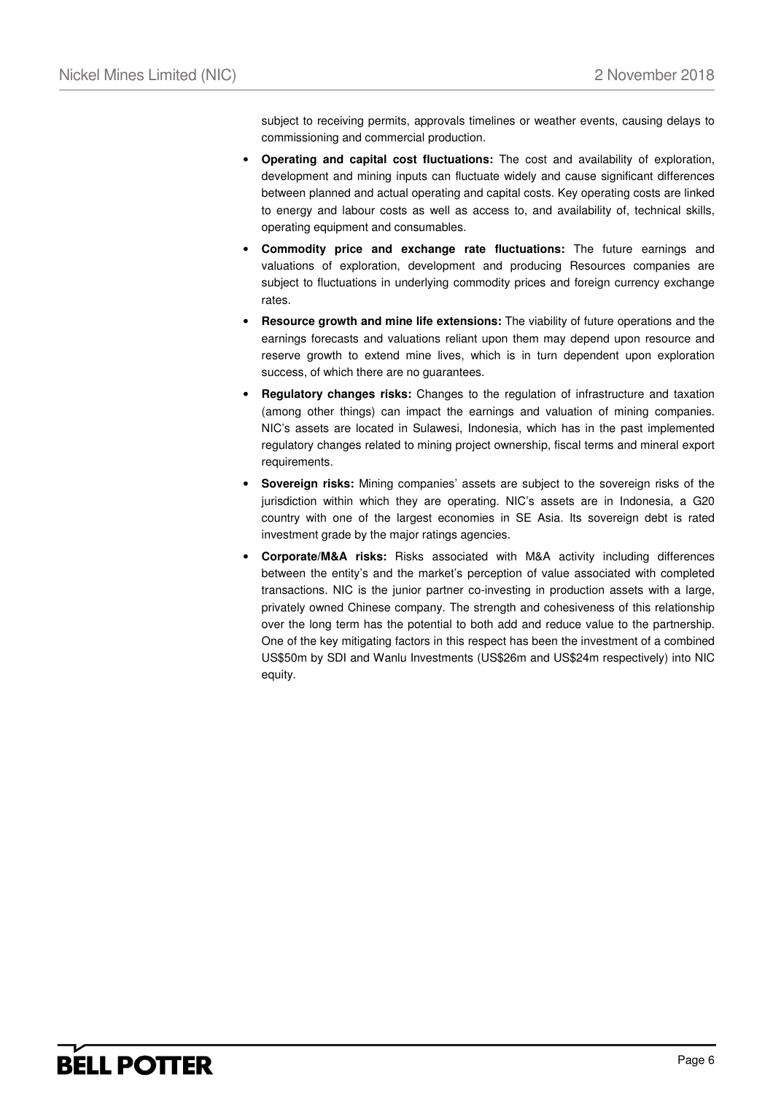subject to receiving permits, approvals timelines or weather events, causing delays to commissioning and commercial production.

- **Operating and capital cost fluctuations:** The cost and availability of exploration, development and mining inputs can fluctuate widely and cause significant differences between planned and actual operating and capital costs. Key operating costs are linked to energy and labour costs as well as access to, and availability of, technical skills, operating equipment and consumables.
- **Commodity price and exchange rate fluctuations:** The future earnings and valuations of exploration, development and producing Resources companies are subject to fluctuations in underlying commodity prices and foreign currency exchange rates.
- **Resource growth and mine life extensions:** The viability of future operations and the earnings forecasts and valuations reliant upon them may depend upon resource and reserve growth to extend mine lives, which is in turn dependent upon exploration success, of which there are no guarantees.
- **Regulatory changes risks:** Changes to the regulation of infrastructure and taxation (among other things) can impact the earnings and valuation of mining companies. NIC's assets are located in Sulawesi, Indonesia, which has in the past implemented regulatory changes related to mining project ownership, fiscal terms and mineral export requirements.
- **Sovereign risks:** Mining companies' assets are subject to the sovereign risks of the jurisdiction within which they are operating. NIC's assets are in Indonesia, a G20 country with one of the largest economies in SE Asia. Its sovereign debt is rated investment grade by the major ratings agencies.
- **Corporate/M&A risks:** Risks associated with M&A activity including differences between the entity's and the market's perception of value associated with completed transactions. NIC is the junior partner co-investing in production assets with a large, privately owned Chinese company. The strength and cohesiveness of this relationship over the long term has the potential to both add and reduce value to the partnership. One of the key mitigating factors in this respect has been the investment of a combined US\$50m by SDI and Wanlu Investments (US\$26m and US\$24m respectively) into NIC equity.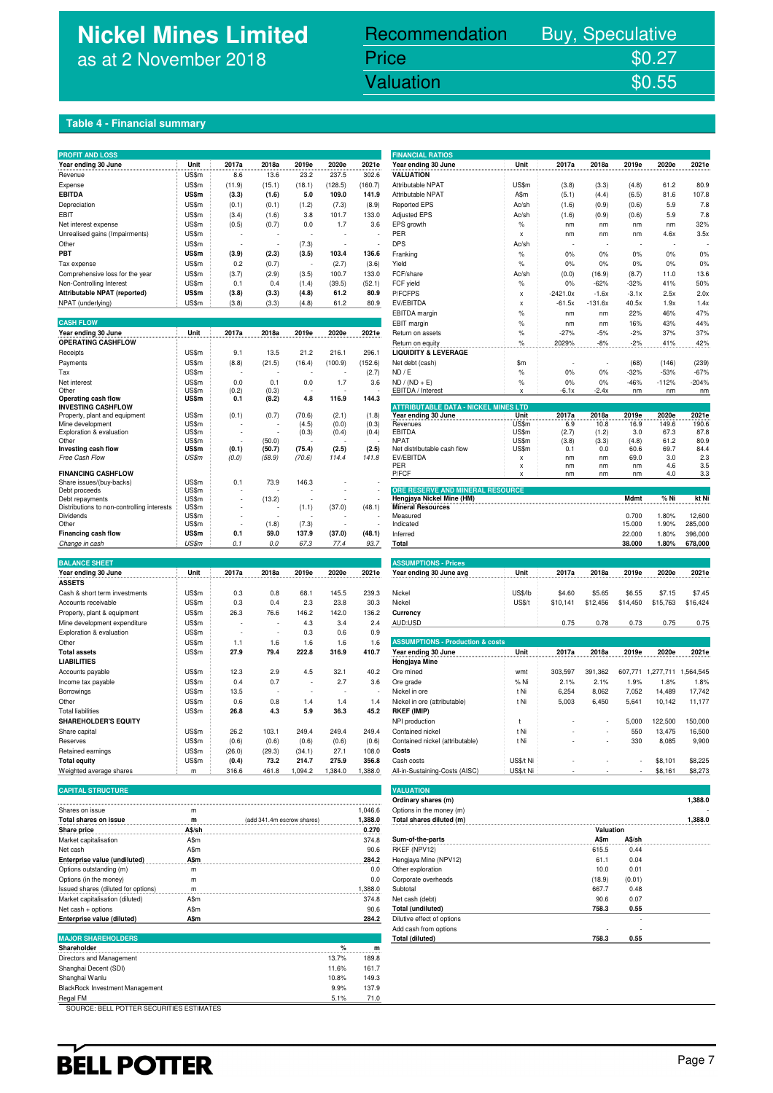## **Nickel Mines Limited** as at 2 November 2018

## Recommendation Buy, Speculative Price \$0.27<br>Valuation \$0.55

Nickel Mines Limited (Nickel Mines Limited (Nickel Mines Limited Control Mines Limited Control Mines Limited C

#### **Table 4 - Financial summary**

| Year ending 30 June<br>Unit<br>2017a<br>2018a<br>2019e<br>2020e<br>2021e<br>Year ending 30 June<br>Unit<br>2017a<br>2018a<br>2019e<br>2020e<br>2021e<br><b>VALUATION</b><br>US\$m<br>8.6<br>13.6<br>23.2<br>237.5<br>302.6<br>Revenue<br>US\$m<br>(11.9)<br>(15.1)<br>(18.1)<br>(128.5)<br>(160.7)<br>Attributable NPAT<br>US\$m<br>(3.8)<br>(4.8)<br>61.2<br>80.9<br>(3.3)<br>Expense<br><b>EBITDA</b><br>US\$m<br>(3.3)<br>(1.6)<br>5.0<br>109.0<br>141.9<br>Attributable NPAT<br>A\$m<br>81.6<br>107.8<br>(5.1)<br>(4.4)<br>(6.5)<br>US\$m<br>(8.9)<br>Ac/sh<br>5.9<br>7.8<br>(0.1)<br>(0.1)<br>(1.2)<br>(7.3)<br><b>Reported EPS</b><br>(1.6)<br>(0.9)<br>(0.6)<br>Depreciation<br>US\$m<br>3.8<br>101.7<br>133.0<br><b>Adjusted EPS</b><br>Ac/sh<br>5.9<br>7.8<br><b>EBIT</b><br>(3.4)<br>(1.6)<br>(1.6)<br>(0.9)<br>(0.6)<br>32%<br>US\$m<br>(0.5)<br>(0.7)<br>0.0<br>1.7<br>3.6<br>EPS growth<br>$\%$<br>nm<br>Net interest expense<br>nm<br>nm<br>nm<br>Unrealised gains (Impairments)<br>US\$m<br>PER<br>4.6x<br>3.5x<br>$\boldsymbol{\mathsf{x}}$<br>nm<br>nm<br>nm<br>US\$m<br>(7.3)<br><b>DPS</b><br>Other<br>Ac/sh<br>US\$m<br>(3.9)<br>0%<br>PBT<br>(2.3)<br>(3.5)<br>103.4<br>136.6<br>Franking<br>$\%$<br>0%<br>0%<br>0%<br>0%<br>$\%$<br>0%<br>Tax expense<br>US\$m<br>0.2<br>(0.7)<br>(2.7)<br>(3.6)<br>Yield<br>0%<br>0%<br>0%<br>0%<br>Comprehensive loss for the year<br>US\$m<br>(3.7)<br>(2.9)<br>(3.5)<br>100.7<br>133.0<br>FCF/share<br>Ac/sh<br>(0.0)<br>(16.9)<br>(8.7)<br>11.0<br>13.6<br>US\$m<br>FCF yield<br>$-32%$<br>41%<br>50%<br>Non-Controlling Interest<br>0.1<br>0.4<br>(1.4)<br>(39.5)<br>(52.1)<br>$\%$<br>0%<br>$-62%$<br>Attributable NPAT (reported)<br>US\$m<br>(3.8)<br>(3.3)<br>(4.8)<br>61.2<br>80.9<br>P/FCFPS<br>$-2421.0x$<br>$-1.6x$<br>$-3.1x$<br>2.5x<br>2.0x<br>$\mathbf{x}$<br>NPAT (underlying)<br>US\$m<br>(3.8)<br>(3.3)<br>(4.8)<br>61.2<br>80.9<br>EV/EBITDA<br>$-61.5x$<br>$-131.6x$<br>40.5x<br>1.9x<br>1.4x<br>$\pmb{\times}$<br>EBITDA margin<br>$\%$<br>22%<br>46%<br>47%<br>nm<br>nm<br><b>CASH FLOW</b><br>EBIT margin<br>$\%$<br>16%<br>43%<br>44%<br>nm<br>nm<br>Year ending 30 June<br>Unit<br>2017a<br>2018a<br>2019e<br>2020e<br>2021e<br>$\frac{9}{6}$<br>$-27%$<br>$-5%$<br>$-2%$<br>37%<br>37%<br>Return on assets<br>OPERATING CASHFLOW<br>$\%$<br>2029%<br>$-8%$<br>$-2%$<br>41%<br>42%<br>Return on equity<br>US\$m<br>296.1<br><b>LIQUIDITY &amp; LEVERAGE</b><br>9.1<br>13.5<br>21.2<br>216.1<br>Receipts<br>US\$m<br>(8.8)<br>(21.5)<br>(16.4)<br>(100.9)<br>(152.6)<br>Net debt (cash)<br>\$m<br>(68)<br>(146)<br>(239)<br>Payments<br>US\$m<br>$\%$<br>$-32%$<br>$-53%$<br>$-67%$<br>(2.7)<br>ND / E<br>0%<br>0%<br>Tax<br>US\$m<br>0.0<br>1.7<br>0%<br>0%<br>$-46%$<br>$-112%$<br>$-204%$<br>Net interest<br>0.1<br>0.0<br>3.6<br>$ND / (ND + E)$<br>$\%$<br>US\$m<br>(0.2)<br>EBITDA / Interest<br>$-2.4x$<br>Other<br>(0.3)<br>-6.1x<br>nm<br>nm<br>nm<br>X<br>US\$m<br>144.3<br>Operating cash flow<br>0.1<br>(8.2)<br>4.8<br>116.9<br><b>ATTRIBUTABLE DATA - NICKEL MINES LTD</b><br><b>INVESTING CASHFLOW</b><br>US\$m<br>(0.1)<br>(0.7)<br>(70.6)<br>(2.1)<br>(1.8)<br>Year ending 30 June<br>Unit<br>2017a<br>2018a<br>2019e<br>2020e<br>2021e<br>Property, plant and equipment<br>Mine development<br>US\$m<br>(4.5)<br>(0.0)<br>(0.3)<br>Revenues<br>US\$m<br>6.9<br>10.8<br>16.9<br>149.6<br>190.6<br>EBITDA<br>US\$m<br>87.8<br>Exploration & evaluation<br>US\$m<br>(0.3)<br>(0.4)<br>(0.4)<br>(2.7)<br>(1.2)<br>3.0<br>67.3<br>US\$m<br>(50.0)<br><b>NPAT</b><br>US\$m<br>(3.8)<br>(3.3)<br>(4.8)<br>61.2<br>80.9<br>Other<br>US\$m<br>(0.1)<br>(75.4)<br>(2.5)<br>(2.5)<br>US\$m<br>Investing cash flow<br>(50.7)<br>Net distributable cash flow<br>69.7<br>0.1<br>0.0<br>60.6<br>84.4<br>US\$m<br>(0.0)<br>(70.6)<br>114.4<br>EV/EBITDA<br>Free Cash Flow<br>(58.9)<br>141.8<br>69.0<br>3.0<br>23<br>$\mathsf x$<br>nm<br>nm<br>PER<br>3.5<br>4.6<br>nm<br>nm<br>nm<br>$\boldsymbol{\mathsf{x}}$<br><b>FINANCING CASHFLOW</b><br>P/FCF<br>nm<br>nm<br>nm<br>4.0<br>3.3<br>Share issues/(buy-backs)<br>US\$m<br>0.1<br>73.9<br>146.3<br>ORE RESERVE AND MINERAL RESOURCE<br>US\$m<br>Debt proceeds<br>÷.<br>$%$ Ni<br>kt Ni<br>US\$m<br>(13.2)<br>Hengjaya Nickel Mine (HM)<br>Mdmt<br>Debt repayments<br><b>Mineral Resources</b><br>US\$m<br>(1.1)<br>(37.0)<br>(48.1)<br>Distributions to non-controlling interests<br>US\$m<br>Measured<br>0.700<br>1.80%<br>12,600<br>Dividends<br>285,000<br>US\$m<br>(1.8)<br>(7.3)<br>Indicated<br>15.000<br>1.90%<br>Other<br>US\$m<br>0.1<br>59.0<br>137.9<br>22.000<br>1.80%<br>396,000<br>Financing cash flow<br>(37.0)<br>(48.1)<br>Inferred<br>US\$m<br>38.000<br>1.80%<br>678,000<br>Change in cash<br>0.1<br>0.0<br>67.3<br>77.4<br>93.7<br>Total<br><b>BALANCE SHEET</b><br><b>ASSUMPTIONS - Prices</b><br>2017a<br>2018a<br>2020e<br>2021e<br>Year ending 30 June avg<br>Unit<br>2017a<br>2018a<br>2020e<br>2021e<br>Year ending 30 June<br>Unit<br>2019e<br>2019e<br><b>ASSETS</b><br>US\$/lb<br>Cash & short term investments<br>US\$m<br>0.3<br>0.8<br>68.1<br>145.5<br>239.3<br>Nickel<br>\$4.60<br>\$5.65<br>\$6.55<br>\$7.15<br>\$7.45<br>US\$m<br>0.3<br>0.4<br>2.3<br>23.8<br>30.3<br>Nickel<br><b>US\$/t</b><br>\$10,141<br>\$12,456<br>\$14,450<br>\$15,763<br>\$16,424<br>Accounts receivable<br>26.3<br>76.6<br>Property, plant & equipment<br>US\$m<br>146.2<br>142.0<br>136.2<br>Currency<br>4.3<br>AUD:USD<br>0.75<br>Mine development expenditure<br>US\$m<br>3.4<br>2.4<br>0.75<br>0.78<br>0.73<br>0.75<br>Exploration & evaluation<br>US\$m<br>0.3<br>0.6<br>0.9<br>US\$m<br><b>ASSUMPTIONS - Production &amp; costs</b><br>Other<br>1.1<br>1.6<br>1.6<br>1.6<br>1.6<br><b>Total assets</b><br>US\$m<br>27.9<br>79.4<br>222.8<br>316.9<br>410.7<br>Year ending 30 June<br>Unit<br>2017a<br>2018a<br>2019e<br>2020e<br>2021e<br><b>LIABILITIES</b><br>Hengjaya Mine<br>US\$m<br>12.3<br>2.9<br>4.5<br>32.1<br>40.2<br>Ore mined<br>303,597<br>391,362<br>607,771<br>1,277,711<br>1.564.545<br>Accounts payable<br>wmt<br>1.9%<br>1.8%<br>US\$m<br>0.4<br>0.7<br>2.7<br>3.6<br>% Ni<br>2.1%<br>2.1%<br>1.8%<br>Income tax payable<br>Ore grade<br>Borrowings<br>US\$m<br>13.5<br>Nickel in ore<br>t Ni<br>6,254<br>8,062<br>7,052<br>14,489<br>17,742<br>$1.4\,$<br>US\$m<br>0.6<br>0.8<br>1.4<br>1.4<br>t Ni<br>5,003<br>6,450<br>5,641<br>10,142<br>11,177<br>Other<br>Nickel in ore (attributable)<br>US\$m<br>26.8<br>36.3<br>45.2<br><b>Total liabilities</b><br>4.3<br>5.9<br><b>RKEF (IMIP)</b><br><b>SHAREHOLDER'S EQUITY</b><br>NPI production<br>5,000<br>122,500<br>150,000<br>t<br>US\$m<br>26.2<br>103.1<br>249.4<br>249.4<br>249.4<br>Contained nickel<br>t Ni<br>550<br>13,475<br>16,500<br>Share capital<br>US\$m<br>(0.6)<br>330<br>9,900<br>Reserves<br>(0.6)<br>(0.6)<br>(0.6)<br>(0.6)<br>Contained nickel (attributable)<br>t Ni<br>8,085<br>US\$m<br>(29.3)<br>(34.1)<br>27.1<br>108.0<br>Costs<br>Retained earnings<br>(26.0)<br>214.7<br>275.9<br>356.8<br><b>Total equity</b><br>US\$m<br>(0.4)<br>73.2<br>Cash costs<br>US\$/t Ni<br>\$8,101<br>\$8,225<br>316.6<br>461.8<br>1,094.2<br>1,384.0<br>1,388.0<br>All-in-Sustaining-Costs (AISC)<br>US\$/t Ni<br>\$8,161<br>\$8,273<br>Weighted average shares<br>m<br><b>CAPITAL STRUCTURE</b><br><b>VALUATION</b> | <b>PROFIT AND LOSS</b> |  |  |  | <b>FINANCIAL RATIOS</b> |  |  |  |
|---------------------------------------------------------------------------------------------------------------------------------------------------------------------------------------------------------------------------------------------------------------------------------------------------------------------------------------------------------------------------------------------------------------------------------------------------------------------------------------------------------------------------------------------------------------------------------------------------------------------------------------------------------------------------------------------------------------------------------------------------------------------------------------------------------------------------------------------------------------------------------------------------------------------------------------------------------------------------------------------------------------------------------------------------------------------------------------------------------------------------------------------------------------------------------------------------------------------------------------------------------------------------------------------------------------------------------------------------------------------------------------------------------------------------------------------------------------------------------------------------------------------------------------------------------------------------------------------------------------------------------------------------------------------------------------------------------------------------------------------------------------------------------------------------------------------------------------------------------------------------------------------------------------------------------------------------------------------------------------------------------------------------------------------------------------------------------------------------------------------------------------------------------------------------------------------------------------------------------------------------------------------------------------------------------------------------------------------------------------------------------------------------------------------------------------------------------------------------------------------------------------------------------------------------------------------------------------------------------------------------------------------------------------------------------------------------------------------------------------------------------------------------------------------------------------------------------------------------------------------------------------------------------------------------------------------------------------------------------------------------------------------------------------------------------------------------------------------------------------------------------------------------------------------------------------------------------------------------------------------------------------------------------------------------------------------------------------------------------------------------------------------------------------------------------------------------------------------------------------------------------------------------------------------------------------------------------------------------------------------------------------------------------------------------------------------------------------------------------------------------------------------------------------------------------------------------------------------------------------------------------------------------------------------------------------------------------------------------------------------------------------------------------------------------------------------------------------------------------------------------------------------------------------------------------------------------------------------------------------------------------------------------------------------------------------------------------------------------------------------------------------------------------------------------------------------------------------------------------------------------------------------------------------------------------------------------------------------------------------------------------------------------------------------------------------------------------------------------------------------------------------------------------------------------------------------------------------------------------------------------------------------------------------------------------------------------------------------------------------------------------------------------------------------------------------------------------------------------------------------------------------------------------------------------------------------------------------------------------------------------------------------------------------------------------------------------------------------------------------------------------------------------------------------------------------------------------------------------------------------------------------------------------------------------------------------------------------------------------------------------------------------------------------------------------------------------------------------------------------------------------------------------------------------------------------------------------------------------------------------------------------------------------------------------------------------------------------------------------------------------------------------------------------------------------------------------------------------------------------------------------------------------------------------------------------------------------------------------------------------------------------------------------------------------------------------------------------------------------------------------------------------------------------------------------------------------------------------------------------------------------------------------------------------------------------------------------------------------------------------------------------------------------------------------------------------------------------------------------------------------------------------------------------------------------------------------------------------------------------------------------------------------------------------------------------------------------------------------------------------------------------------------------------------------------------------------------------------------------------------------------------------------------------------------------------------------------------------------------------------------------------------------------------------------------------------------------------------------------------|------------------------|--|--|--|-------------------------|--|--|--|
|                                                                                                                                                                                                                                                                                                                                                                                                                                                                                                                                                                                                                                                                                                                                                                                                                                                                                                                                                                                                                                                                                                                                                                                                                                                                                                                                                                                                                                                                                                                                                                                                                                                                                                                                                                                                                                                                                                                                                                                                                                                                                                                                                                                                                                                                                                                                                                                                                                                                                                                                                                                                                                                                                                                                                                                                                                                                                                                                                                                                                                                                                                                                                                                                                                                                                                                                                                                                                                                                                                                                                                                                                                                                                                                                                                                                                                                                                                                                                                                                                                                                                                                                                                                                                                                                                                                                                                                                                                                                                                                                                                                                                                                                                                                                                                                                                                                                                                                                                                                                                                                                                                                                                                                                                                                                                                                                                                                                                                                                                                                                                                                                                                                                                                                                                                                                                                                                                                                                                                                                                                                                                                                                                                                                                                                                                                                                                                                                                                                                                                                                                                                                                                                                                                                                                                                                                                                                                                                                                                                                                                                                                                                                                                                                                                                                                                                                                               |                        |  |  |  |                         |  |  |  |
|                                                                                                                                                                                                                                                                                                                                                                                                                                                                                                                                                                                                                                                                                                                                                                                                                                                                                                                                                                                                                                                                                                                                                                                                                                                                                                                                                                                                                                                                                                                                                                                                                                                                                                                                                                                                                                                                                                                                                                                                                                                                                                                                                                                                                                                                                                                                                                                                                                                                                                                                                                                                                                                                                                                                                                                                                                                                                                                                                                                                                                                                                                                                                                                                                                                                                                                                                                                                                                                                                                                                                                                                                                                                                                                                                                                                                                                                                                                                                                                                                                                                                                                                                                                                                                                                                                                                                                                                                                                                                                                                                                                                                                                                                                                                                                                                                                                                                                                                                                                                                                                                                                                                                                                                                                                                                                                                                                                                                                                                                                                                                                                                                                                                                                                                                                                                                                                                                                                                                                                                                                                                                                                                                                                                                                                                                                                                                                                                                                                                                                                                                                                                                                                                                                                                                                                                                                                                                                                                                                                                                                                                                                                                                                                                                                                                                                                                                               |                        |  |  |  |                         |  |  |  |
|                                                                                                                                                                                                                                                                                                                                                                                                                                                                                                                                                                                                                                                                                                                                                                                                                                                                                                                                                                                                                                                                                                                                                                                                                                                                                                                                                                                                                                                                                                                                                                                                                                                                                                                                                                                                                                                                                                                                                                                                                                                                                                                                                                                                                                                                                                                                                                                                                                                                                                                                                                                                                                                                                                                                                                                                                                                                                                                                                                                                                                                                                                                                                                                                                                                                                                                                                                                                                                                                                                                                                                                                                                                                                                                                                                                                                                                                                                                                                                                                                                                                                                                                                                                                                                                                                                                                                                                                                                                                                                                                                                                                                                                                                                                                                                                                                                                                                                                                                                                                                                                                                                                                                                                                                                                                                                                                                                                                                                                                                                                                                                                                                                                                                                                                                                                                                                                                                                                                                                                                                                                                                                                                                                                                                                                                                                                                                                                                                                                                                                                                                                                                                                                                                                                                                                                                                                                                                                                                                                                                                                                                                                                                                                                                                                                                                                                                                               |                        |  |  |  |                         |  |  |  |
|                                                                                                                                                                                                                                                                                                                                                                                                                                                                                                                                                                                                                                                                                                                                                                                                                                                                                                                                                                                                                                                                                                                                                                                                                                                                                                                                                                                                                                                                                                                                                                                                                                                                                                                                                                                                                                                                                                                                                                                                                                                                                                                                                                                                                                                                                                                                                                                                                                                                                                                                                                                                                                                                                                                                                                                                                                                                                                                                                                                                                                                                                                                                                                                                                                                                                                                                                                                                                                                                                                                                                                                                                                                                                                                                                                                                                                                                                                                                                                                                                                                                                                                                                                                                                                                                                                                                                                                                                                                                                                                                                                                                                                                                                                                                                                                                                                                                                                                                                                                                                                                                                                                                                                                                                                                                                                                                                                                                                                                                                                                                                                                                                                                                                                                                                                                                                                                                                                                                                                                                                                                                                                                                                                                                                                                                                                                                                                                                                                                                                                                                                                                                                                                                                                                                                                                                                                                                                                                                                                                                                                                                                                                                                                                                                                                                                                                                                               |                        |  |  |  |                         |  |  |  |
|                                                                                                                                                                                                                                                                                                                                                                                                                                                                                                                                                                                                                                                                                                                                                                                                                                                                                                                                                                                                                                                                                                                                                                                                                                                                                                                                                                                                                                                                                                                                                                                                                                                                                                                                                                                                                                                                                                                                                                                                                                                                                                                                                                                                                                                                                                                                                                                                                                                                                                                                                                                                                                                                                                                                                                                                                                                                                                                                                                                                                                                                                                                                                                                                                                                                                                                                                                                                                                                                                                                                                                                                                                                                                                                                                                                                                                                                                                                                                                                                                                                                                                                                                                                                                                                                                                                                                                                                                                                                                                                                                                                                                                                                                                                                                                                                                                                                                                                                                                                                                                                                                                                                                                                                                                                                                                                                                                                                                                                                                                                                                                                                                                                                                                                                                                                                                                                                                                                                                                                                                                                                                                                                                                                                                                                                                                                                                                                                                                                                                                                                                                                                                                                                                                                                                                                                                                                                                                                                                                                                                                                                                                                                                                                                                                                                                                                                                               |                        |  |  |  |                         |  |  |  |
|                                                                                                                                                                                                                                                                                                                                                                                                                                                                                                                                                                                                                                                                                                                                                                                                                                                                                                                                                                                                                                                                                                                                                                                                                                                                                                                                                                                                                                                                                                                                                                                                                                                                                                                                                                                                                                                                                                                                                                                                                                                                                                                                                                                                                                                                                                                                                                                                                                                                                                                                                                                                                                                                                                                                                                                                                                                                                                                                                                                                                                                                                                                                                                                                                                                                                                                                                                                                                                                                                                                                                                                                                                                                                                                                                                                                                                                                                                                                                                                                                                                                                                                                                                                                                                                                                                                                                                                                                                                                                                                                                                                                                                                                                                                                                                                                                                                                                                                                                                                                                                                                                                                                                                                                                                                                                                                                                                                                                                                                                                                                                                                                                                                                                                                                                                                                                                                                                                                                                                                                                                                                                                                                                                                                                                                                                                                                                                                                                                                                                                                                                                                                                                                                                                                                                                                                                                                                                                                                                                                                                                                                                                                                                                                                                                                                                                                                                               |                        |  |  |  |                         |  |  |  |
|                                                                                                                                                                                                                                                                                                                                                                                                                                                                                                                                                                                                                                                                                                                                                                                                                                                                                                                                                                                                                                                                                                                                                                                                                                                                                                                                                                                                                                                                                                                                                                                                                                                                                                                                                                                                                                                                                                                                                                                                                                                                                                                                                                                                                                                                                                                                                                                                                                                                                                                                                                                                                                                                                                                                                                                                                                                                                                                                                                                                                                                                                                                                                                                                                                                                                                                                                                                                                                                                                                                                                                                                                                                                                                                                                                                                                                                                                                                                                                                                                                                                                                                                                                                                                                                                                                                                                                                                                                                                                                                                                                                                                                                                                                                                                                                                                                                                                                                                                                                                                                                                                                                                                                                                                                                                                                                                                                                                                                                                                                                                                                                                                                                                                                                                                                                                                                                                                                                                                                                                                                                                                                                                                                                                                                                                                                                                                                                                                                                                                                                                                                                                                                                                                                                                                                                                                                                                                                                                                                                                                                                                                                                                                                                                                                                                                                                                                               |                        |  |  |  |                         |  |  |  |
|                                                                                                                                                                                                                                                                                                                                                                                                                                                                                                                                                                                                                                                                                                                                                                                                                                                                                                                                                                                                                                                                                                                                                                                                                                                                                                                                                                                                                                                                                                                                                                                                                                                                                                                                                                                                                                                                                                                                                                                                                                                                                                                                                                                                                                                                                                                                                                                                                                                                                                                                                                                                                                                                                                                                                                                                                                                                                                                                                                                                                                                                                                                                                                                                                                                                                                                                                                                                                                                                                                                                                                                                                                                                                                                                                                                                                                                                                                                                                                                                                                                                                                                                                                                                                                                                                                                                                                                                                                                                                                                                                                                                                                                                                                                                                                                                                                                                                                                                                                                                                                                                                                                                                                                                                                                                                                                                                                                                                                                                                                                                                                                                                                                                                                                                                                                                                                                                                                                                                                                                                                                                                                                                                                                                                                                                                                                                                                                                                                                                                                                                                                                                                                                                                                                                                                                                                                                                                                                                                                                                                                                                                                                                                                                                                                                                                                                                                               |                        |  |  |  |                         |  |  |  |
|                                                                                                                                                                                                                                                                                                                                                                                                                                                                                                                                                                                                                                                                                                                                                                                                                                                                                                                                                                                                                                                                                                                                                                                                                                                                                                                                                                                                                                                                                                                                                                                                                                                                                                                                                                                                                                                                                                                                                                                                                                                                                                                                                                                                                                                                                                                                                                                                                                                                                                                                                                                                                                                                                                                                                                                                                                                                                                                                                                                                                                                                                                                                                                                                                                                                                                                                                                                                                                                                                                                                                                                                                                                                                                                                                                                                                                                                                                                                                                                                                                                                                                                                                                                                                                                                                                                                                                                                                                                                                                                                                                                                                                                                                                                                                                                                                                                                                                                                                                                                                                                                                                                                                                                                                                                                                                                                                                                                                                                                                                                                                                                                                                                                                                                                                                                                                                                                                                                                                                                                                                                                                                                                                                                                                                                                                                                                                                                                                                                                                                                                                                                                                                                                                                                                                                                                                                                                                                                                                                                                                                                                                                                                                                                                                                                                                                                                                               |                        |  |  |  |                         |  |  |  |
|                                                                                                                                                                                                                                                                                                                                                                                                                                                                                                                                                                                                                                                                                                                                                                                                                                                                                                                                                                                                                                                                                                                                                                                                                                                                                                                                                                                                                                                                                                                                                                                                                                                                                                                                                                                                                                                                                                                                                                                                                                                                                                                                                                                                                                                                                                                                                                                                                                                                                                                                                                                                                                                                                                                                                                                                                                                                                                                                                                                                                                                                                                                                                                                                                                                                                                                                                                                                                                                                                                                                                                                                                                                                                                                                                                                                                                                                                                                                                                                                                                                                                                                                                                                                                                                                                                                                                                                                                                                                                                                                                                                                                                                                                                                                                                                                                                                                                                                                                                                                                                                                                                                                                                                                                                                                                                                                                                                                                                                                                                                                                                                                                                                                                                                                                                                                                                                                                                                                                                                                                                                                                                                                                                                                                                                                                                                                                                                                                                                                                                                                                                                                                                                                                                                                                                                                                                                                                                                                                                                                                                                                                                                                                                                                                                                                                                                                                               |                        |  |  |  |                         |  |  |  |
|                                                                                                                                                                                                                                                                                                                                                                                                                                                                                                                                                                                                                                                                                                                                                                                                                                                                                                                                                                                                                                                                                                                                                                                                                                                                                                                                                                                                                                                                                                                                                                                                                                                                                                                                                                                                                                                                                                                                                                                                                                                                                                                                                                                                                                                                                                                                                                                                                                                                                                                                                                                                                                                                                                                                                                                                                                                                                                                                                                                                                                                                                                                                                                                                                                                                                                                                                                                                                                                                                                                                                                                                                                                                                                                                                                                                                                                                                                                                                                                                                                                                                                                                                                                                                                                                                                                                                                                                                                                                                                                                                                                                                                                                                                                                                                                                                                                                                                                                                                                                                                                                                                                                                                                                                                                                                                                                                                                                                                                                                                                                                                                                                                                                                                                                                                                                                                                                                                                                                                                                                                                                                                                                                                                                                                                                                                                                                                                                                                                                                                                                                                                                                                                                                                                                                                                                                                                                                                                                                                                                                                                                                                                                                                                                                                                                                                                                                               |                        |  |  |  |                         |  |  |  |
|                                                                                                                                                                                                                                                                                                                                                                                                                                                                                                                                                                                                                                                                                                                                                                                                                                                                                                                                                                                                                                                                                                                                                                                                                                                                                                                                                                                                                                                                                                                                                                                                                                                                                                                                                                                                                                                                                                                                                                                                                                                                                                                                                                                                                                                                                                                                                                                                                                                                                                                                                                                                                                                                                                                                                                                                                                                                                                                                                                                                                                                                                                                                                                                                                                                                                                                                                                                                                                                                                                                                                                                                                                                                                                                                                                                                                                                                                                                                                                                                                                                                                                                                                                                                                                                                                                                                                                                                                                                                                                                                                                                                                                                                                                                                                                                                                                                                                                                                                                                                                                                                                                                                                                                                                                                                                                                                                                                                                                                                                                                                                                                                                                                                                                                                                                                                                                                                                                                                                                                                                                                                                                                                                                                                                                                                                                                                                                                                                                                                                                                                                                                                                                                                                                                                                                                                                                                                                                                                                                                                                                                                                                                                                                                                                                                                                                                                                               |                        |  |  |  |                         |  |  |  |
|                                                                                                                                                                                                                                                                                                                                                                                                                                                                                                                                                                                                                                                                                                                                                                                                                                                                                                                                                                                                                                                                                                                                                                                                                                                                                                                                                                                                                                                                                                                                                                                                                                                                                                                                                                                                                                                                                                                                                                                                                                                                                                                                                                                                                                                                                                                                                                                                                                                                                                                                                                                                                                                                                                                                                                                                                                                                                                                                                                                                                                                                                                                                                                                                                                                                                                                                                                                                                                                                                                                                                                                                                                                                                                                                                                                                                                                                                                                                                                                                                                                                                                                                                                                                                                                                                                                                                                                                                                                                                                                                                                                                                                                                                                                                                                                                                                                                                                                                                                                                                                                                                                                                                                                                                                                                                                                                                                                                                                                                                                                                                                                                                                                                                                                                                                                                                                                                                                                                                                                                                                                                                                                                                                                                                                                                                                                                                                                                                                                                                                                                                                                                                                                                                                                                                                                                                                                                                                                                                                                                                                                                                                                                                                                                                                                                                                                                                               |                        |  |  |  |                         |  |  |  |
|                                                                                                                                                                                                                                                                                                                                                                                                                                                                                                                                                                                                                                                                                                                                                                                                                                                                                                                                                                                                                                                                                                                                                                                                                                                                                                                                                                                                                                                                                                                                                                                                                                                                                                                                                                                                                                                                                                                                                                                                                                                                                                                                                                                                                                                                                                                                                                                                                                                                                                                                                                                                                                                                                                                                                                                                                                                                                                                                                                                                                                                                                                                                                                                                                                                                                                                                                                                                                                                                                                                                                                                                                                                                                                                                                                                                                                                                                                                                                                                                                                                                                                                                                                                                                                                                                                                                                                                                                                                                                                                                                                                                                                                                                                                                                                                                                                                                                                                                                                                                                                                                                                                                                                                                                                                                                                                                                                                                                                                                                                                                                                                                                                                                                                                                                                                                                                                                                                                                                                                                                                                                                                                                                                                                                                                                                                                                                                                                                                                                                                                                                                                                                                                                                                                                                                                                                                                                                                                                                                                                                                                                                                                                                                                                                                                                                                                                                               |                        |  |  |  |                         |  |  |  |
|                                                                                                                                                                                                                                                                                                                                                                                                                                                                                                                                                                                                                                                                                                                                                                                                                                                                                                                                                                                                                                                                                                                                                                                                                                                                                                                                                                                                                                                                                                                                                                                                                                                                                                                                                                                                                                                                                                                                                                                                                                                                                                                                                                                                                                                                                                                                                                                                                                                                                                                                                                                                                                                                                                                                                                                                                                                                                                                                                                                                                                                                                                                                                                                                                                                                                                                                                                                                                                                                                                                                                                                                                                                                                                                                                                                                                                                                                                                                                                                                                                                                                                                                                                                                                                                                                                                                                                                                                                                                                                                                                                                                                                                                                                                                                                                                                                                                                                                                                                                                                                                                                                                                                                                                                                                                                                                                                                                                                                                                                                                                                                                                                                                                                                                                                                                                                                                                                                                                                                                                                                                                                                                                                                                                                                                                                                                                                                                                                                                                                                                                                                                                                                                                                                                                                                                                                                                                                                                                                                                                                                                                                                                                                                                                                                                                                                                                                               |                        |  |  |  |                         |  |  |  |
|                                                                                                                                                                                                                                                                                                                                                                                                                                                                                                                                                                                                                                                                                                                                                                                                                                                                                                                                                                                                                                                                                                                                                                                                                                                                                                                                                                                                                                                                                                                                                                                                                                                                                                                                                                                                                                                                                                                                                                                                                                                                                                                                                                                                                                                                                                                                                                                                                                                                                                                                                                                                                                                                                                                                                                                                                                                                                                                                                                                                                                                                                                                                                                                                                                                                                                                                                                                                                                                                                                                                                                                                                                                                                                                                                                                                                                                                                                                                                                                                                                                                                                                                                                                                                                                                                                                                                                                                                                                                                                                                                                                                                                                                                                                                                                                                                                                                                                                                                                                                                                                                                                                                                                                                                                                                                                                                                                                                                                                                                                                                                                                                                                                                                                                                                                                                                                                                                                                                                                                                                                                                                                                                                                                                                                                                                                                                                                                                                                                                                                                                                                                                                                                                                                                                                                                                                                                                                                                                                                                                                                                                                                                                                                                                                                                                                                                                                               |                        |  |  |  |                         |  |  |  |
|                                                                                                                                                                                                                                                                                                                                                                                                                                                                                                                                                                                                                                                                                                                                                                                                                                                                                                                                                                                                                                                                                                                                                                                                                                                                                                                                                                                                                                                                                                                                                                                                                                                                                                                                                                                                                                                                                                                                                                                                                                                                                                                                                                                                                                                                                                                                                                                                                                                                                                                                                                                                                                                                                                                                                                                                                                                                                                                                                                                                                                                                                                                                                                                                                                                                                                                                                                                                                                                                                                                                                                                                                                                                                                                                                                                                                                                                                                                                                                                                                                                                                                                                                                                                                                                                                                                                                                                                                                                                                                                                                                                                                                                                                                                                                                                                                                                                                                                                                                                                                                                                                                                                                                                                                                                                                                                                                                                                                                                                                                                                                                                                                                                                                                                                                                                                                                                                                                                                                                                                                                                                                                                                                                                                                                                                                                                                                                                                                                                                                                                                                                                                                                                                                                                                                                                                                                                                                                                                                                                                                                                                                                                                                                                                                                                                                                                                                               |                        |  |  |  |                         |  |  |  |
|                                                                                                                                                                                                                                                                                                                                                                                                                                                                                                                                                                                                                                                                                                                                                                                                                                                                                                                                                                                                                                                                                                                                                                                                                                                                                                                                                                                                                                                                                                                                                                                                                                                                                                                                                                                                                                                                                                                                                                                                                                                                                                                                                                                                                                                                                                                                                                                                                                                                                                                                                                                                                                                                                                                                                                                                                                                                                                                                                                                                                                                                                                                                                                                                                                                                                                                                                                                                                                                                                                                                                                                                                                                                                                                                                                                                                                                                                                                                                                                                                                                                                                                                                                                                                                                                                                                                                                                                                                                                                                                                                                                                                                                                                                                                                                                                                                                                                                                                                                                                                                                                                                                                                                                                                                                                                                                                                                                                                                                                                                                                                                                                                                                                                                                                                                                                                                                                                                                                                                                                                                                                                                                                                                                                                                                                                                                                                                                                                                                                                                                                                                                                                                                                                                                                                                                                                                                                                                                                                                                                                                                                                                                                                                                                                                                                                                                                                               |                        |  |  |  |                         |  |  |  |
|                                                                                                                                                                                                                                                                                                                                                                                                                                                                                                                                                                                                                                                                                                                                                                                                                                                                                                                                                                                                                                                                                                                                                                                                                                                                                                                                                                                                                                                                                                                                                                                                                                                                                                                                                                                                                                                                                                                                                                                                                                                                                                                                                                                                                                                                                                                                                                                                                                                                                                                                                                                                                                                                                                                                                                                                                                                                                                                                                                                                                                                                                                                                                                                                                                                                                                                                                                                                                                                                                                                                                                                                                                                                                                                                                                                                                                                                                                                                                                                                                                                                                                                                                                                                                                                                                                                                                                                                                                                                                                                                                                                                                                                                                                                                                                                                                                                                                                                                                                                                                                                                                                                                                                                                                                                                                                                                                                                                                                                                                                                                                                                                                                                                                                                                                                                                                                                                                                                                                                                                                                                                                                                                                                                                                                                                                                                                                                                                                                                                                                                                                                                                                                                                                                                                                                                                                                                                                                                                                                                                                                                                                                                                                                                                                                                                                                                                                               |                        |  |  |  |                         |  |  |  |
|                                                                                                                                                                                                                                                                                                                                                                                                                                                                                                                                                                                                                                                                                                                                                                                                                                                                                                                                                                                                                                                                                                                                                                                                                                                                                                                                                                                                                                                                                                                                                                                                                                                                                                                                                                                                                                                                                                                                                                                                                                                                                                                                                                                                                                                                                                                                                                                                                                                                                                                                                                                                                                                                                                                                                                                                                                                                                                                                                                                                                                                                                                                                                                                                                                                                                                                                                                                                                                                                                                                                                                                                                                                                                                                                                                                                                                                                                                                                                                                                                                                                                                                                                                                                                                                                                                                                                                                                                                                                                                                                                                                                                                                                                                                                                                                                                                                                                                                                                                                                                                                                                                                                                                                                                                                                                                                                                                                                                                                                                                                                                                                                                                                                                                                                                                                                                                                                                                                                                                                                                                                                                                                                                                                                                                                                                                                                                                                                                                                                                                                                                                                                                                                                                                                                                                                                                                                                                                                                                                                                                                                                                                                                                                                                                                                                                                                                                               |                        |  |  |  |                         |  |  |  |
|                                                                                                                                                                                                                                                                                                                                                                                                                                                                                                                                                                                                                                                                                                                                                                                                                                                                                                                                                                                                                                                                                                                                                                                                                                                                                                                                                                                                                                                                                                                                                                                                                                                                                                                                                                                                                                                                                                                                                                                                                                                                                                                                                                                                                                                                                                                                                                                                                                                                                                                                                                                                                                                                                                                                                                                                                                                                                                                                                                                                                                                                                                                                                                                                                                                                                                                                                                                                                                                                                                                                                                                                                                                                                                                                                                                                                                                                                                                                                                                                                                                                                                                                                                                                                                                                                                                                                                                                                                                                                                                                                                                                                                                                                                                                                                                                                                                                                                                                                                                                                                                                                                                                                                                                                                                                                                                                                                                                                                                                                                                                                                                                                                                                                                                                                                                                                                                                                                                                                                                                                                                                                                                                                                                                                                                                                                                                                                                                                                                                                                                                                                                                                                                                                                                                                                                                                                                                                                                                                                                                                                                                                                                                                                                                                                                                                                                                                               |                        |  |  |  |                         |  |  |  |
|                                                                                                                                                                                                                                                                                                                                                                                                                                                                                                                                                                                                                                                                                                                                                                                                                                                                                                                                                                                                                                                                                                                                                                                                                                                                                                                                                                                                                                                                                                                                                                                                                                                                                                                                                                                                                                                                                                                                                                                                                                                                                                                                                                                                                                                                                                                                                                                                                                                                                                                                                                                                                                                                                                                                                                                                                                                                                                                                                                                                                                                                                                                                                                                                                                                                                                                                                                                                                                                                                                                                                                                                                                                                                                                                                                                                                                                                                                                                                                                                                                                                                                                                                                                                                                                                                                                                                                                                                                                                                                                                                                                                                                                                                                                                                                                                                                                                                                                                                                                                                                                                                                                                                                                                                                                                                                                                                                                                                                                                                                                                                                                                                                                                                                                                                                                                                                                                                                                                                                                                                                                                                                                                                                                                                                                                                                                                                                                                                                                                                                                                                                                                                                                                                                                                                                                                                                                                                                                                                                                                                                                                                                                                                                                                                                                                                                                                                               |                        |  |  |  |                         |  |  |  |
|                                                                                                                                                                                                                                                                                                                                                                                                                                                                                                                                                                                                                                                                                                                                                                                                                                                                                                                                                                                                                                                                                                                                                                                                                                                                                                                                                                                                                                                                                                                                                                                                                                                                                                                                                                                                                                                                                                                                                                                                                                                                                                                                                                                                                                                                                                                                                                                                                                                                                                                                                                                                                                                                                                                                                                                                                                                                                                                                                                                                                                                                                                                                                                                                                                                                                                                                                                                                                                                                                                                                                                                                                                                                                                                                                                                                                                                                                                                                                                                                                                                                                                                                                                                                                                                                                                                                                                                                                                                                                                                                                                                                                                                                                                                                                                                                                                                                                                                                                                                                                                                                                                                                                                                                                                                                                                                                                                                                                                                                                                                                                                                                                                                                                                                                                                                                                                                                                                                                                                                                                                                                                                                                                                                                                                                                                                                                                                                                                                                                                                                                                                                                                                                                                                                                                                                                                                                                                                                                                                                                                                                                                                                                                                                                                                                                                                                                                               |                        |  |  |  |                         |  |  |  |
|                                                                                                                                                                                                                                                                                                                                                                                                                                                                                                                                                                                                                                                                                                                                                                                                                                                                                                                                                                                                                                                                                                                                                                                                                                                                                                                                                                                                                                                                                                                                                                                                                                                                                                                                                                                                                                                                                                                                                                                                                                                                                                                                                                                                                                                                                                                                                                                                                                                                                                                                                                                                                                                                                                                                                                                                                                                                                                                                                                                                                                                                                                                                                                                                                                                                                                                                                                                                                                                                                                                                                                                                                                                                                                                                                                                                                                                                                                                                                                                                                                                                                                                                                                                                                                                                                                                                                                                                                                                                                                                                                                                                                                                                                                                                                                                                                                                                                                                                                                                                                                                                                                                                                                                                                                                                                                                                                                                                                                                                                                                                                                                                                                                                                                                                                                                                                                                                                                                                                                                                                                                                                                                                                                                                                                                                                                                                                                                                                                                                                                                                                                                                                                                                                                                                                                                                                                                                                                                                                                                                                                                                                                                                                                                                                                                                                                                                                               |                        |  |  |  |                         |  |  |  |
|                                                                                                                                                                                                                                                                                                                                                                                                                                                                                                                                                                                                                                                                                                                                                                                                                                                                                                                                                                                                                                                                                                                                                                                                                                                                                                                                                                                                                                                                                                                                                                                                                                                                                                                                                                                                                                                                                                                                                                                                                                                                                                                                                                                                                                                                                                                                                                                                                                                                                                                                                                                                                                                                                                                                                                                                                                                                                                                                                                                                                                                                                                                                                                                                                                                                                                                                                                                                                                                                                                                                                                                                                                                                                                                                                                                                                                                                                                                                                                                                                                                                                                                                                                                                                                                                                                                                                                                                                                                                                                                                                                                                                                                                                                                                                                                                                                                                                                                                                                                                                                                                                                                                                                                                                                                                                                                                                                                                                                                                                                                                                                                                                                                                                                                                                                                                                                                                                                                                                                                                                                                                                                                                                                                                                                                                                                                                                                                                                                                                                                                                                                                                                                                                                                                                                                                                                                                                                                                                                                                                                                                                                                                                                                                                                                                                                                                                                               |                        |  |  |  |                         |  |  |  |
|                                                                                                                                                                                                                                                                                                                                                                                                                                                                                                                                                                                                                                                                                                                                                                                                                                                                                                                                                                                                                                                                                                                                                                                                                                                                                                                                                                                                                                                                                                                                                                                                                                                                                                                                                                                                                                                                                                                                                                                                                                                                                                                                                                                                                                                                                                                                                                                                                                                                                                                                                                                                                                                                                                                                                                                                                                                                                                                                                                                                                                                                                                                                                                                                                                                                                                                                                                                                                                                                                                                                                                                                                                                                                                                                                                                                                                                                                                                                                                                                                                                                                                                                                                                                                                                                                                                                                                                                                                                                                                                                                                                                                                                                                                                                                                                                                                                                                                                                                                                                                                                                                                                                                                                                                                                                                                                                                                                                                                                                                                                                                                                                                                                                                                                                                                                                                                                                                                                                                                                                                                                                                                                                                                                                                                                                                                                                                                                                                                                                                                                                                                                                                                                                                                                                                                                                                                                                                                                                                                                                                                                                                                                                                                                                                                                                                                                                                               |                        |  |  |  |                         |  |  |  |
|                                                                                                                                                                                                                                                                                                                                                                                                                                                                                                                                                                                                                                                                                                                                                                                                                                                                                                                                                                                                                                                                                                                                                                                                                                                                                                                                                                                                                                                                                                                                                                                                                                                                                                                                                                                                                                                                                                                                                                                                                                                                                                                                                                                                                                                                                                                                                                                                                                                                                                                                                                                                                                                                                                                                                                                                                                                                                                                                                                                                                                                                                                                                                                                                                                                                                                                                                                                                                                                                                                                                                                                                                                                                                                                                                                                                                                                                                                                                                                                                                                                                                                                                                                                                                                                                                                                                                                                                                                                                                                                                                                                                                                                                                                                                                                                                                                                                                                                                                                                                                                                                                                                                                                                                                                                                                                                                                                                                                                                                                                                                                                                                                                                                                                                                                                                                                                                                                                                                                                                                                                                                                                                                                                                                                                                                                                                                                                                                                                                                                                                                                                                                                                                                                                                                                                                                                                                                                                                                                                                                                                                                                                                                                                                                                                                                                                                                                               |                        |  |  |  |                         |  |  |  |
|                                                                                                                                                                                                                                                                                                                                                                                                                                                                                                                                                                                                                                                                                                                                                                                                                                                                                                                                                                                                                                                                                                                                                                                                                                                                                                                                                                                                                                                                                                                                                                                                                                                                                                                                                                                                                                                                                                                                                                                                                                                                                                                                                                                                                                                                                                                                                                                                                                                                                                                                                                                                                                                                                                                                                                                                                                                                                                                                                                                                                                                                                                                                                                                                                                                                                                                                                                                                                                                                                                                                                                                                                                                                                                                                                                                                                                                                                                                                                                                                                                                                                                                                                                                                                                                                                                                                                                                                                                                                                                                                                                                                                                                                                                                                                                                                                                                                                                                                                                                                                                                                                                                                                                                                                                                                                                                                                                                                                                                                                                                                                                                                                                                                                                                                                                                                                                                                                                                                                                                                                                                                                                                                                                                                                                                                                                                                                                                                                                                                                                                                                                                                                                                                                                                                                                                                                                                                                                                                                                                                                                                                                                                                                                                                                                                                                                                                                               |                        |  |  |  |                         |  |  |  |
|                                                                                                                                                                                                                                                                                                                                                                                                                                                                                                                                                                                                                                                                                                                                                                                                                                                                                                                                                                                                                                                                                                                                                                                                                                                                                                                                                                                                                                                                                                                                                                                                                                                                                                                                                                                                                                                                                                                                                                                                                                                                                                                                                                                                                                                                                                                                                                                                                                                                                                                                                                                                                                                                                                                                                                                                                                                                                                                                                                                                                                                                                                                                                                                                                                                                                                                                                                                                                                                                                                                                                                                                                                                                                                                                                                                                                                                                                                                                                                                                                                                                                                                                                                                                                                                                                                                                                                                                                                                                                                                                                                                                                                                                                                                                                                                                                                                                                                                                                                                                                                                                                                                                                                                                                                                                                                                                                                                                                                                                                                                                                                                                                                                                                                                                                                                                                                                                                                                                                                                                                                                                                                                                                                                                                                                                                                                                                                                                                                                                                                                                                                                                                                                                                                                                                                                                                                                                                                                                                                                                                                                                                                                                                                                                                                                                                                                                                               |                        |  |  |  |                         |  |  |  |
|                                                                                                                                                                                                                                                                                                                                                                                                                                                                                                                                                                                                                                                                                                                                                                                                                                                                                                                                                                                                                                                                                                                                                                                                                                                                                                                                                                                                                                                                                                                                                                                                                                                                                                                                                                                                                                                                                                                                                                                                                                                                                                                                                                                                                                                                                                                                                                                                                                                                                                                                                                                                                                                                                                                                                                                                                                                                                                                                                                                                                                                                                                                                                                                                                                                                                                                                                                                                                                                                                                                                                                                                                                                                                                                                                                                                                                                                                                                                                                                                                                                                                                                                                                                                                                                                                                                                                                                                                                                                                                                                                                                                                                                                                                                                                                                                                                                                                                                                                                                                                                                                                                                                                                                                                                                                                                                                                                                                                                                                                                                                                                                                                                                                                                                                                                                                                                                                                                                                                                                                                                                                                                                                                                                                                                                                                                                                                                                                                                                                                                                                                                                                                                                                                                                                                                                                                                                                                                                                                                                                                                                                                                                                                                                                                                                                                                                                                               |                        |  |  |  |                         |  |  |  |
|                                                                                                                                                                                                                                                                                                                                                                                                                                                                                                                                                                                                                                                                                                                                                                                                                                                                                                                                                                                                                                                                                                                                                                                                                                                                                                                                                                                                                                                                                                                                                                                                                                                                                                                                                                                                                                                                                                                                                                                                                                                                                                                                                                                                                                                                                                                                                                                                                                                                                                                                                                                                                                                                                                                                                                                                                                                                                                                                                                                                                                                                                                                                                                                                                                                                                                                                                                                                                                                                                                                                                                                                                                                                                                                                                                                                                                                                                                                                                                                                                                                                                                                                                                                                                                                                                                                                                                                                                                                                                                                                                                                                                                                                                                                                                                                                                                                                                                                                                                                                                                                                                                                                                                                                                                                                                                                                                                                                                                                                                                                                                                                                                                                                                                                                                                                                                                                                                                                                                                                                                                                                                                                                                                                                                                                                                                                                                                                                                                                                                                                                                                                                                                                                                                                                                                                                                                                                                                                                                                                                                                                                                                                                                                                                                                                                                                                                                               |                        |  |  |  |                         |  |  |  |
|                                                                                                                                                                                                                                                                                                                                                                                                                                                                                                                                                                                                                                                                                                                                                                                                                                                                                                                                                                                                                                                                                                                                                                                                                                                                                                                                                                                                                                                                                                                                                                                                                                                                                                                                                                                                                                                                                                                                                                                                                                                                                                                                                                                                                                                                                                                                                                                                                                                                                                                                                                                                                                                                                                                                                                                                                                                                                                                                                                                                                                                                                                                                                                                                                                                                                                                                                                                                                                                                                                                                                                                                                                                                                                                                                                                                                                                                                                                                                                                                                                                                                                                                                                                                                                                                                                                                                                                                                                                                                                                                                                                                                                                                                                                                                                                                                                                                                                                                                                                                                                                                                                                                                                                                                                                                                                                                                                                                                                                                                                                                                                                                                                                                                                                                                                                                                                                                                                                                                                                                                                                                                                                                                                                                                                                                                                                                                                                                                                                                                                                                                                                                                                                                                                                                                                                                                                                                                                                                                                                                                                                                                                                                                                                                                                                                                                                                                               |                        |  |  |  |                         |  |  |  |
|                                                                                                                                                                                                                                                                                                                                                                                                                                                                                                                                                                                                                                                                                                                                                                                                                                                                                                                                                                                                                                                                                                                                                                                                                                                                                                                                                                                                                                                                                                                                                                                                                                                                                                                                                                                                                                                                                                                                                                                                                                                                                                                                                                                                                                                                                                                                                                                                                                                                                                                                                                                                                                                                                                                                                                                                                                                                                                                                                                                                                                                                                                                                                                                                                                                                                                                                                                                                                                                                                                                                                                                                                                                                                                                                                                                                                                                                                                                                                                                                                                                                                                                                                                                                                                                                                                                                                                                                                                                                                                                                                                                                                                                                                                                                                                                                                                                                                                                                                                                                                                                                                                                                                                                                                                                                                                                                                                                                                                                                                                                                                                                                                                                                                                                                                                                                                                                                                                                                                                                                                                                                                                                                                                                                                                                                                                                                                                                                                                                                                                                                                                                                                                                                                                                                                                                                                                                                                                                                                                                                                                                                                                                                                                                                                                                                                                                                                               |                        |  |  |  |                         |  |  |  |
|                                                                                                                                                                                                                                                                                                                                                                                                                                                                                                                                                                                                                                                                                                                                                                                                                                                                                                                                                                                                                                                                                                                                                                                                                                                                                                                                                                                                                                                                                                                                                                                                                                                                                                                                                                                                                                                                                                                                                                                                                                                                                                                                                                                                                                                                                                                                                                                                                                                                                                                                                                                                                                                                                                                                                                                                                                                                                                                                                                                                                                                                                                                                                                                                                                                                                                                                                                                                                                                                                                                                                                                                                                                                                                                                                                                                                                                                                                                                                                                                                                                                                                                                                                                                                                                                                                                                                                                                                                                                                                                                                                                                                                                                                                                                                                                                                                                                                                                                                                                                                                                                                                                                                                                                                                                                                                                                                                                                                                                                                                                                                                                                                                                                                                                                                                                                                                                                                                                                                                                                                                                                                                                                                                                                                                                                                                                                                                                                                                                                                                                                                                                                                                                                                                                                                                                                                                                                                                                                                                                                                                                                                                                                                                                                                                                                                                                                                               |                        |  |  |  |                         |  |  |  |
|                                                                                                                                                                                                                                                                                                                                                                                                                                                                                                                                                                                                                                                                                                                                                                                                                                                                                                                                                                                                                                                                                                                                                                                                                                                                                                                                                                                                                                                                                                                                                                                                                                                                                                                                                                                                                                                                                                                                                                                                                                                                                                                                                                                                                                                                                                                                                                                                                                                                                                                                                                                                                                                                                                                                                                                                                                                                                                                                                                                                                                                                                                                                                                                                                                                                                                                                                                                                                                                                                                                                                                                                                                                                                                                                                                                                                                                                                                                                                                                                                                                                                                                                                                                                                                                                                                                                                                                                                                                                                                                                                                                                                                                                                                                                                                                                                                                                                                                                                                                                                                                                                                                                                                                                                                                                                                                                                                                                                                                                                                                                                                                                                                                                                                                                                                                                                                                                                                                                                                                                                                                                                                                                                                                                                                                                                                                                                                                                                                                                                                                                                                                                                                                                                                                                                                                                                                                                                                                                                                                                                                                                                                                                                                                                                                                                                                                                                               |                        |  |  |  |                         |  |  |  |
|                                                                                                                                                                                                                                                                                                                                                                                                                                                                                                                                                                                                                                                                                                                                                                                                                                                                                                                                                                                                                                                                                                                                                                                                                                                                                                                                                                                                                                                                                                                                                                                                                                                                                                                                                                                                                                                                                                                                                                                                                                                                                                                                                                                                                                                                                                                                                                                                                                                                                                                                                                                                                                                                                                                                                                                                                                                                                                                                                                                                                                                                                                                                                                                                                                                                                                                                                                                                                                                                                                                                                                                                                                                                                                                                                                                                                                                                                                                                                                                                                                                                                                                                                                                                                                                                                                                                                                                                                                                                                                                                                                                                                                                                                                                                                                                                                                                                                                                                                                                                                                                                                                                                                                                                                                                                                                                                                                                                                                                                                                                                                                                                                                                                                                                                                                                                                                                                                                                                                                                                                                                                                                                                                                                                                                                                                                                                                                                                                                                                                                                                                                                                                                                                                                                                                                                                                                                                                                                                                                                                                                                                                                                                                                                                                                                                                                                                                               |                        |  |  |  |                         |  |  |  |
|                                                                                                                                                                                                                                                                                                                                                                                                                                                                                                                                                                                                                                                                                                                                                                                                                                                                                                                                                                                                                                                                                                                                                                                                                                                                                                                                                                                                                                                                                                                                                                                                                                                                                                                                                                                                                                                                                                                                                                                                                                                                                                                                                                                                                                                                                                                                                                                                                                                                                                                                                                                                                                                                                                                                                                                                                                                                                                                                                                                                                                                                                                                                                                                                                                                                                                                                                                                                                                                                                                                                                                                                                                                                                                                                                                                                                                                                                                                                                                                                                                                                                                                                                                                                                                                                                                                                                                                                                                                                                                                                                                                                                                                                                                                                                                                                                                                                                                                                                                                                                                                                                                                                                                                                                                                                                                                                                                                                                                                                                                                                                                                                                                                                                                                                                                                                                                                                                                                                                                                                                                                                                                                                                                                                                                                                                                                                                                                                                                                                                                                                                                                                                                                                                                                                                                                                                                                                                                                                                                                                                                                                                                                                                                                                                                                                                                                                                               |                        |  |  |  |                         |  |  |  |
|                                                                                                                                                                                                                                                                                                                                                                                                                                                                                                                                                                                                                                                                                                                                                                                                                                                                                                                                                                                                                                                                                                                                                                                                                                                                                                                                                                                                                                                                                                                                                                                                                                                                                                                                                                                                                                                                                                                                                                                                                                                                                                                                                                                                                                                                                                                                                                                                                                                                                                                                                                                                                                                                                                                                                                                                                                                                                                                                                                                                                                                                                                                                                                                                                                                                                                                                                                                                                                                                                                                                                                                                                                                                                                                                                                                                                                                                                                                                                                                                                                                                                                                                                                                                                                                                                                                                                                                                                                                                                                                                                                                                                                                                                                                                                                                                                                                                                                                                                                                                                                                                                                                                                                                                                                                                                                                                                                                                                                                                                                                                                                                                                                                                                                                                                                                                                                                                                                                                                                                                                                                                                                                                                                                                                                                                                                                                                                                                                                                                                                                                                                                                                                                                                                                                                                                                                                                                                                                                                                                                                                                                                                                                                                                                                                                                                                                                                               |                        |  |  |  |                         |  |  |  |
|                                                                                                                                                                                                                                                                                                                                                                                                                                                                                                                                                                                                                                                                                                                                                                                                                                                                                                                                                                                                                                                                                                                                                                                                                                                                                                                                                                                                                                                                                                                                                                                                                                                                                                                                                                                                                                                                                                                                                                                                                                                                                                                                                                                                                                                                                                                                                                                                                                                                                                                                                                                                                                                                                                                                                                                                                                                                                                                                                                                                                                                                                                                                                                                                                                                                                                                                                                                                                                                                                                                                                                                                                                                                                                                                                                                                                                                                                                                                                                                                                                                                                                                                                                                                                                                                                                                                                                                                                                                                                                                                                                                                                                                                                                                                                                                                                                                                                                                                                                                                                                                                                                                                                                                                                                                                                                                                                                                                                                                                                                                                                                                                                                                                                                                                                                                                                                                                                                                                                                                                                                                                                                                                                                                                                                                                                                                                                                                                                                                                                                                                                                                                                                                                                                                                                                                                                                                                                                                                                                                                                                                                                                                                                                                                                                                                                                                                                               |                        |  |  |  |                         |  |  |  |
|                                                                                                                                                                                                                                                                                                                                                                                                                                                                                                                                                                                                                                                                                                                                                                                                                                                                                                                                                                                                                                                                                                                                                                                                                                                                                                                                                                                                                                                                                                                                                                                                                                                                                                                                                                                                                                                                                                                                                                                                                                                                                                                                                                                                                                                                                                                                                                                                                                                                                                                                                                                                                                                                                                                                                                                                                                                                                                                                                                                                                                                                                                                                                                                                                                                                                                                                                                                                                                                                                                                                                                                                                                                                                                                                                                                                                                                                                                                                                                                                                                                                                                                                                                                                                                                                                                                                                                                                                                                                                                                                                                                                                                                                                                                                                                                                                                                                                                                                                                                                                                                                                                                                                                                                                                                                                                                                                                                                                                                                                                                                                                                                                                                                                                                                                                                                                                                                                                                                                                                                                                                                                                                                                                                                                                                                                                                                                                                                                                                                                                                                                                                                                                                                                                                                                                                                                                                                                                                                                                                                                                                                                                                                                                                                                                                                                                                                                               |                        |  |  |  |                         |  |  |  |
|                                                                                                                                                                                                                                                                                                                                                                                                                                                                                                                                                                                                                                                                                                                                                                                                                                                                                                                                                                                                                                                                                                                                                                                                                                                                                                                                                                                                                                                                                                                                                                                                                                                                                                                                                                                                                                                                                                                                                                                                                                                                                                                                                                                                                                                                                                                                                                                                                                                                                                                                                                                                                                                                                                                                                                                                                                                                                                                                                                                                                                                                                                                                                                                                                                                                                                                                                                                                                                                                                                                                                                                                                                                                                                                                                                                                                                                                                                                                                                                                                                                                                                                                                                                                                                                                                                                                                                                                                                                                                                                                                                                                                                                                                                                                                                                                                                                                                                                                                                                                                                                                                                                                                                                                                                                                                                                                                                                                                                                                                                                                                                                                                                                                                                                                                                                                                                                                                                                                                                                                                                                                                                                                                                                                                                                                                                                                                                                                                                                                                                                                                                                                                                                                                                                                                                                                                                                                                                                                                                                                                                                                                                                                                                                                                                                                                                                                                               |                        |  |  |  |                         |  |  |  |
|                                                                                                                                                                                                                                                                                                                                                                                                                                                                                                                                                                                                                                                                                                                                                                                                                                                                                                                                                                                                                                                                                                                                                                                                                                                                                                                                                                                                                                                                                                                                                                                                                                                                                                                                                                                                                                                                                                                                                                                                                                                                                                                                                                                                                                                                                                                                                                                                                                                                                                                                                                                                                                                                                                                                                                                                                                                                                                                                                                                                                                                                                                                                                                                                                                                                                                                                                                                                                                                                                                                                                                                                                                                                                                                                                                                                                                                                                                                                                                                                                                                                                                                                                                                                                                                                                                                                                                                                                                                                                                                                                                                                                                                                                                                                                                                                                                                                                                                                                                                                                                                                                                                                                                                                                                                                                                                                                                                                                                                                                                                                                                                                                                                                                                                                                                                                                                                                                                                                                                                                                                                                                                                                                                                                                                                                                                                                                                                                                                                                                                                                                                                                                                                                                                                                                                                                                                                                                                                                                                                                                                                                                                                                                                                                                                                                                                                                                               |                        |  |  |  |                         |  |  |  |
|                                                                                                                                                                                                                                                                                                                                                                                                                                                                                                                                                                                                                                                                                                                                                                                                                                                                                                                                                                                                                                                                                                                                                                                                                                                                                                                                                                                                                                                                                                                                                                                                                                                                                                                                                                                                                                                                                                                                                                                                                                                                                                                                                                                                                                                                                                                                                                                                                                                                                                                                                                                                                                                                                                                                                                                                                                                                                                                                                                                                                                                                                                                                                                                                                                                                                                                                                                                                                                                                                                                                                                                                                                                                                                                                                                                                                                                                                                                                                                                                                                                                                                                                                                                                                                                                                                                                                                                                                                                                                                                                                                                                                                                                                                                                                                                                                                                                                                                                                                                                                                                                                                                                                                                                                                                                                                                                                                                                                                                                                                                                                                                                                                                                                                                                                                                                                                                                                                                                                                                                                                                                                                                                                                                                                                                                                                                                                                                                                                                                                                                                                                                                                                                                                                                                                                                                                                                                                                                                                                                                                                                                                                                                                                                                                                                                                                                                                               |                        |  |  |  |                         |  |  |  |
|                                                                                                                                                                                                                                                                                                                                                                                                                                                                                                                                                                                                                                                                                                                                                                                                                                                                                                                                                                                                                                                                                                                                                                                                                                                                                                                                                                                                                                                                                                                                                                                                                                                                                                                                                                                                                                                                                                                                                                                                                                                                                                                                                                                                                                                                                                                                                                                                                                                                                                                                                                                                                                                                                                                                                                                                                                                                                                                                                                                                                                                                                                                                                                                                                                                                                                                                                                                                                                                                                                                                                                                                                                                                                                                                                                                                                                                                                                                                                                                                                                                                                                                                                                                                                                                                                                                                                                                                                                                                                                                                                                                                                                                                                                                                                                                                                                                                                                                                                                                                                                                                                                                                                                                                                                                                                                                                                                                                                                                                                                                                                                                                                                                                                                                                                                                                                                                                                                                                                                                                                                                                                                                                                                                                                                                                                                                                                                                                                                                                                                                                                                                                                                                                                                                                                                                                                                                                                                                                                                                                                                                                                                                                                                                                                                                                                                                                                               |                        |  |  |  |                         |  |  |  |
|                                                                                                                                                                                                                                                                                                                                                                                                                                                                                                                                                                                                                                                                                                                                                                                                                                                                                                                                                                                                                                                                                                                                                                                                                                                                                                                                                                                                                                                                                                                                                                                                                                                                                                                                                                                                                                                                                                                                                                                                                                                                                                                                                                                                                                                                                                                                                                                                                                                                                                                                                                                                                                                                                                                                                                                                                                                                                                                                                                                                                                                                                                                                                                                                                                                                                                                                                                                                                                                                                                                                                                                                                                                                                                                                                                                                                                                                                                                                                                                                                                                                                                                                                                                                                                                                                                                                                                                                                                                                                                                                                                                                                                                                                                                                                                                                                                                                                                                                                                                                                                                                                                                                                                                                                                                                                                                                                                                                                                                                                                                                                                                                                                                                                                                                                                                                                                                                                                                                                                                                                                                                                                                                                                                                                                                                                                                                                                                                                                                                                                                                                                                                                                                                                                                                                                                                                                                                                                                                                                                                                                                                                                                                                                                                                                                                                                                                                               |                        |  |  |  |                         |  |  |  |
|                                                                                                                                                                                                                                                                                                                                                                                                                                                                                                                                                                                                                                                                                                                                                                                                                                                                                                                                                                                                                                                                                                                                                                                                                                                                                                                                                                                                                                                                                                                                                                                                                                                                                                                                                                                                                                                                                                                                                                                                                                                                                                                                                                                                                                                                                                                                                                                                                                                                                                                                                                                                                                                                                                                                                                                                                                                                                                                                                                                                                                                                                                                                                                                                                                                                                                                                                                                                                                                                                                                                                                                                                                                                                                                                                                                                                                                                                                                                                                                                                                                                                                                                                                                                                                                                                                                                                                                                                                                                                                                                                                                                                                                                                                                                                                                                                                                                                                                                                                                                                                                                                                                                                                                                                                                                                                                                                                                                                                                                                                                                                                                                                                                                                                                                                                                                                                                                                                                                                                                                                                                                                                                                                                                                                                                                                                                                                                                                                                                                                                                                                                                                                                                                                                                                                                                                                                                                                                                                                                                                                                                                                                                                                                                                                                                                                                                                                               |                        |  |  |  |                         |  |  |  |
|                                                                                                                                                                                                                                                                                                                                                                                                                                                                                                                                                                                                                                                                                                                                                                                                                                                                                                                                                                                                                                                                                                                                                                                                                                                                                                                                                                                                                                                                                                                                                                                                                                                                                                                                                                                                                                                                                                                                                                                                                                                                                                                                                                                                                                                                                                                                                                                                                                                                                                                                                                                                                                                                                                                                                                                                                                                                                                                                                                                                                                                                                                                                                                                                                                                                                                                                                                                                                                                                                                                                                                                                                                                                                                                                                                                                                                                                                                                                                                                                                                                                                                                                                                                                                                                                                                                                                                                                                                                                                                                                                                                                                                                                                                                                                                                                                                                                                                                                                                                                                                                                                                                                                                                                                                                                                                                                                                                                                                                                                                                                                                                                                                                                                                                                                                                                                                                                                                                                                                                                                                                                                                                                                                                                                                                                                                                                                                                                                                                                                                                                                                                                                                                                                                                                                                                                                                                                                                                                                                                                                                                                                                                                                                                                                                                                                                                                                               |                        |  |  |  |                         |  |  |  |
|                                                                                                                                                                                                                                                                                                                                                                                                                                                                                                                                                                                                                                                                                                                                                                                                                                                                                                                                                                                                                                                                                                                                                                                                                                                                                                                                                                                                                                                                                                                                                                                                                                                                                                                                                                                                                                                                                                                                                                                                                                                                                                                                                                                                                                                                                                                                                                                                                                                                                                                                                                                                                                                                                                                                                                                                                                                                                                                                                                                                                                                                                                                                                                                                                                                                                                                                                                                                                                                                                                                                                                                                                                                                                                                                                                                                                                                                                                                                                                                                                                                                                                                                                                                                                                                                                                                                                                                                                                                                                                                                                                                                                                                                                                                                                                                                                                                                                                                                                                                                                                                                                                                                                                                                                                                                                                                                                                                                                                                                                                                                                                                                                                                                                                                                                                                                                                                                                                                                                                                                                                                                                                                                                                                                                                                                                                                                                                                                                                                                                                                                                                                                                                                                                                                                                                                                                                                                                                                                                                                                                                                                                                                                                                                                                                                                                                                                                               |                        |  |  |  |                         |  |  |  |
|                                                                                                                                                                                                                                                                                                                                                                                                                                                                                                                                                                                                                                                                                                                                                                                                                                                                                                                                                                                                                                                                                                                                                                                                                                                                                                                                                                                                                                                                                                                                                                                                                                                                                                                                                                                                                                                                                                                                                                                                                                                                                                                                                                                                                                                                                                                                                                                                                                                                                                                                                                                                                                                                                                                                                                                                                                                                                                                                                                                                                                                                                                                                                                                                                                                                                                                                                                                                                                                                                                                                                                                                                                                                                                                                                                                                                                                                                                                                                                                                                                                                                                                                                                                                                                                                                                                                                                                                                                                                                                                                                                                                                                                                                                                                                                                                                                                                                                                                                                                                                                                                                                                                                                                                                                                                                                                                                                                                                                                                                                                                                                                                                                                                                                                                                                                                                                                                                                                                                                                                                                                                                                                                                                                                                                                                                                                                                                                                                                                                                                                                                                                                                                                                                                                                                                                                                                                                                                                                                                                                                                                                                                                                                                                                                                                                                                                                                               |                        |  |  |  |                         |  |  |  |
|                                                                                                                                                                                                                                                                                                                                                                                                                                                                                                                                                                                                                                                                                                                                                                                                                                                                                                                                                                                                                                                                                                                                                                                                                                                                                                                                                                                                                                                                                                                                                                                                                                                                                                                                                                                                                                                                                                                                                                                                                                                                                                                                                                                                                                                                                                                                                                                                                                                                                                                                                                                                                                                                                                                                                                                                                                                                                                                                                                                                                                                                                                                                                                                                                                                                                                                                                                                                                                                                                                                                                                                                                                                                                                                                                                                                                                                                                                                                                                                                                                                                                                                                                                                                                                                                                                                                                                                                                                                                                                                                                                                                                                                                                                                                                                                                                                                                                                                                                                                                                                                                                                                                                                                                                                                                                                                                                                                                                                                                                                                                                                                                                                                                                                                                                                                                                                                                                                                                                                                                                                                                                                                                                                                                                                                                                                                                                                                                                                                                                                                                                                                                                                                                                                                                                                                                                                                                                                                                                                                                                                                                                                                                                                                                                                                                                                                                                               |                        |  |  |  |                         |  |  |  |
|                                                                                                                                                                                                                                                                                                                                                                                                                                                                                                                                                                                                                                                                                                                                                                                                                                                                                                                                                                                                                                                                                                                                                                                                                                                                                                                                                                                                                                                                                                                                                                                                                                                                                                                                                                                                                                                                                                                                                                                                                                                                                                                                                                                                                                                                                                                                                                                                                                                                                                                                                                                                                                                                                                                                                                                                                                                                                                                                                                                                                                                                                                                                                                                                                                                                                                                                                                                                                                                                                                                                                                                                                                                                                                                                                                                                                                                                                                                                                                                                                                                                                                                                                                                                                                                                                                                                                                                                                                                                                                                                                                                                                                                                                                                                                                                                                                                                                                                                                                                                                                                                                                                                                                                                                                                                                                                                                                                                                                                                                                                                                                                                                                                                                                                                                                                                                                                                                                                                                                                                                                                                                                                                                                                                                                                                                                                                                                                                                                                                                                                                                                                                                                                                                                                                                                                                                                                                                                                                                                                                                                                                                                                                                                                                                                                                                                                                                               |                        |  |  |  |                         |  |  |  |
|                                                                                                                                                                                                                                                                                                                                                                                                                                                                                                                                                                                                                                                                                                                                                                                                                                                                                                                                                                                                                                                                                                                                                                                                                                                                                                                                                                                                                                                                                                                                                                                                                                                                                                                                                                                                                                                                                                                                                                                                                                                                                                                                                                                                                                                                                                                                                                                                                                                                                                                                                                                                                                                                                                                                                                                                                                                                                                                                                                                                                                                                                                                                                                                                                                                                                                                                                                                                                                                                                                                                                                                                                                                                                                                                                                                                                                                                                                                                                                                                                                                                                                                                                                                                                                                                                                                                                                                                                                                                                                                                                                                                                                                                                                                                                                                                                                                                                                                                                                                                                                                                                                                                                                                                                                                                                                                                                                                                                                                                                                                                                                                                                                                                                                                                                                                                                                                                                                                                                                                                                                                                                                                                                                                                                                                                                                                                                                                                                                                                                                                                                                                                                                                                                                                                                                                                                                                                                                                                                                                                                                                                                                                                                                                                                                                                                                                                                               |                        |  |  |  |                         |  |  |  |
|                                                                                                                                                                                                                                                                                                                                                                                                                                                                                                                                                                                                                                                                                                                                                                                                                                                                                                                                                                                                                                                                                                                                                                                                                                                                                                                                                                                                                                                                                                                                                                                                                                                                                                                                                                                                                                                                                                                                                                                                                                                                                                                                                                                                                                                                                                                                                                                                                                                                                                                                                                                                                                                                                                                                                                                                                                                                                                                                                                                                                                                                                                                                                                                                                                                                                                                                                                                                                                                                                                                                                                                                                                                                                                                                                                                                                                                                                                                                                                                                                                                                                                                                                                                                                                                                                                                                                                                                                                                                                                                                                                                                                                                                                                                                                                                                                                                                                                                                                                                                                                                                                                                                                                                                                                                                                                                                                                                                                                                                                                                                                                                                                                                                                                                                                                                                                                                                                                                                                                                                                                                                                                                                                                                                                                                                                                                                                                                                                                                                                                                                                                                                                                                                                                                                                                                                                                                                                                                                                                                                                                                                                                                                                                                                                                                                                                                                                               |                        |  |  |  |                         |  |  |  |
|                                                                                                                                                                                                                                                                                                                                                                                                                                                                                                                                                                                                                                                                                                                                                                                                                                                                                                                                                                                                                                                                                                                                                                                                                                                                                                                                                                                                                                                                                                                                                                                                                                                                                                                                                                                                                                                                                                                                                                                                                                                                                                                                                                                                                                                                                                                                                                                                                                                                                                                                                                                                                                                                                                                                                                                                                                                                                                                                                                                                                                                                                                                                                                                                                                                                                                                                                                                                                                                                                                                                                                                                                                                                                                                                                                                                                                                                                                                                                                                                                                                                                                                                                                                                                                                                                                                                                                                                                                                                                                                                                                                                                                                                                                                                                                                                                                                                                                                                                                                                                                                                                                                                                                                                                                                                                                                                                                                                                                                                                                                                                                                                                                                                                                                                                                                                                                                                                                                                                                                                                                                                                                                                                                                                                                                                                                                                                                                                                                                                                                                                                                                                                                                                                                                                                                                                                                                                                                                                                                                                                                                                                                                                                                                                                                                                                                                                                               |                        |  |  |  |                         |  |  |  |
|                                                                                                                                                                                                                                                                                                                                                                                                                                                                                                                                                                                                                                                                                                                                                                                                                                                                                                                                                                                                                                                                                                                                                                                                                                                                                                                                                                                                                                                                                                                                                                                                                                                                                                                                                                                                                                                                                                                                                                                                                                                                                                                                                                                                                                                                                                                                                                                                                                                                                                                                                                                                                                                                                                                                                                                                                                                                                                                                                                                                                                                                                                                                                                                                                                                                                                                                                                                                                                                                                                                                                                                                                                                                                                                                                                                                                                                                                                                                                                                                                                                                                                                                                                                                                                                                                                                                                                                                                                                                                                                                                                                                                                                                                                                                                                                                                                                                                                                                                                                                                                                                                                                                                                                                                                                                                                                                                                                                                                                                                                                                                                                                                                                                                                                                                                                                                                                                                                                                                                                                                                                                                                                                                                                                                                                                                                                                                                                                                                                                                                                                                                                                                                                                                                                                                                                                                                                                                                                                                                                                                                                                                                                                                                                                                                                                                                                                                               |                        |  |  |  |                         |  |  |  |
|                                                                                                                                                                                                                                                                                                                                                                                                                                                                                                                                                                                                                                                                                                                                                                                                                                                                                                                                                                                                                                                                                                                                                                                                                                                                                                                                                                                                                                                                                                                                                                                                                                                                                                                                                                                                                                                                                                                                                                                                                                                                                                                                                                                                                                                                                                                                                                                                                                                                                                                                                                                                                                                                                                                                                                                                                                                                                                                                                                                                                                                                                                                                                                                                                                                                                                                                                                                                                                                                                                                                                                                                                                                                                                                                                                                                                                                                                                                                                                                                                                                                                                                                                                                                                                                                                                                                                                                                                                                                                                                                                                                                                                                                                                                                                                                                                                                                                                                                                                                                                                                                                                                                                                                                                                                                                                                                                                                                                                                                                                                                                                                                                                                                                                                                                                                                                                                                                                                                                                                                                                                                                                                                                                                                                                                                                                                                                                                                                                                                                                                                                                                                                                                                                                                                                                                                                                                                                                                                                                                                                                                                                                                                                                                                                                                                                                                                                               |                        |  |  |  |                         |  |  |  |
|                                                                                                                                                                                                                                                                                                                                                                                                                                                                                                                                                                                                                                                                                                                                                                                                                                                                                                                                                                                                                                                                                                                                                                                                                                                                                                                                                                                                                                                                                                                                                                                                                                                                                                                                                                                                                                                                                                                                                                                                                                                                                                                                                                                                                                                                                                                                                                                                                                                                                                                                                                                                                                                                                                                                                                                                                                                                                                                                                                                                                                                                                                                                                                                                                                                                                                                                                                                                                                                                                                                                                                                                                                                                                                                                                                                                                                                                                                                                                                                                                                                                                                                                                                                                                                                                                                                                                                                                                                                                                                                                                                                                                                                                                                                                                                                                                                                                                                                                                                                                                                                                                                                                                                                                                                                                                                                                                                                                                                                                                                                                                                                                                                                                                                                                                                                                                                                                                                                                                                                                                                                                                                                                                                                                                                                                                                                                                                                                                                                                                                                                                                                                                                                                                                                                                                                                                                                                                                                                                                                                                                                                                                                                                                                                                                                                                                                                                               |                        |  |  |  |                         |  |  |  |
|                                                                                                                                                                                                                                                                                                                                                                                                                                                                                                                                                                                                                                                                                                                                                                                                                                                                                                                                                                                                                                                                                                                                                                                                                                                                                                                                                                                                                                                                                                                                                                                                                                                                                                                                                                                                                                                                                                                                                                                                                                                                                                                                                                                                                                                                                                                                                                                                                                                                                                                                                                                                                                                                                                                                                                                                                                                                                                                                                                                                                                                                                                                                                                                                                                                                                                                                                                                                                                                                                                                                                                                                                                                                                                                                                                                                                                                                                                                                                                                                                                                                                                                                                                                                                                                                                                                                                                                                                                                                                                                                                                                                                                                                                                                                                                                                                                                                                                                                                                                                                                                                                                                                                                                                                                                                                                                                                                                                                                                                                                                                                                                                                                                                                                                                                                                                                                                                                                                                                                                                                                                                                                                                                                                                                                                                                                                                                                                                                                                                                                                                                                                                                                                                                                                                                                                                                                                                                                                                                                                                                                                                                                                                                                                                                                                                                                                                                               |                        |  |  |  |                         |  |  |  |
|                                                                                                                                                                                                                                                                                                                                                                                                                                                                                                                                                                                                                                                                                                                                                                                                                                                                                                                                                                                                                                                                                                                                                                                                                                                                                                                                                                                                                                                                                                                                                                                                                                                                                                                                                                                                                                                                                                                                                                                                                                                                                                                                                                                                                                                                                                                                                                                                                                                                                                                                                                                                                                                                                                                                                                                                                                                                                                                                                                                                                                                                                                                                                                                                                                                                                                                                                                                                                                                                                                                                                                                                                                                                                                                                                                                                                                                                                                                                                                                                                                                                                                                                                                                                                                                                                                                                                                                                                                                                                                                                                                                                                                                                                                                                                                                                                                                                                                                                                                                                                                                                                                                                                                                                                                                                                                                                                                                                                                                                                                                                                                                                                                                                                                                                                                                                                                                                                                                                                                                                                                                                                                                                                                                                                                                                                                                                                                                                                                                                                                                                                                                                                                                                                                                                                                                                                                                                                                                                                                                                                                                                                                                                                                                                                                                                                                                                                               |                        |  |  |  |                         |  |  |  |
|                                                                                                                                                                                                                                                                                                                                                                                                                                                                                                                                                                                                                                                                                                                                                                                                                                                                                                                                                                                                                                                                                                                                                                                                                                                                                                                                                                                                                                                                                                                                                                                                                                                                                                                                                                                                                                                                                                                                                                                                                                                                                                                                                                                                                                                                                                                                                                                                                                                                                                                                                                                                                                                                                                                                                                                                                                                                                                                                                                                                                                                                                                                                                                                                                                                                                                                                                                                                                                                                                                                                                                                                                                                                                                                                                                                                                                                                                                                                                                                                                                                                                                                                                                                                                                                                                                                                                                                                                                                                                                                                                                                                                                                                                                                                                                                                                                                                                                                                                                                                                                                                                                                                                                                                                                                                                                                                                                                                                                                                                                                                                                                                                                                                                                                                                                                                                                                                                                                                                                                                                                                                                                                                                                                                                                                                                                                                                                                                                                                                                                                                                                                                                                                                                                                                                                                                                                                                                                                                                                                                                                                                                                                                                                                                                                                                                                                                                               |                        |  |  |  |                         |  |  |  |
|                                                                                                                                                                                                                                                                                                                                                                                                                                                                                                                                                                                                                                                                                                                                                                                                                                                                                                                                                                                                                                                                                                                                                                                                                                                                                                                                                                                                                                                                                                                                                                                                                                                                                                                                                                                                                                                                                                                                                                                                                                                                                                                                                                                                                                                                                                                                                                                                                                                                                                                                                                                                                                                                                                                                                                                                                                                                                                                                                                                                                                                                                                                                                                                                                                                                                                                                                                                                                                                                                                                                                                                                                                                                                                                                                                                                                                                                                                                                                                                                                                                                                                                                                                                                                                                                                                                                                                                                                                                                                                                                                                                                                                                                                                                                                                                                                                                                                                                                                                                                                                                                                                                                                                                                                                                                                                                                                                                                                                                                                                                                                                                                                                                                                                                                                                                                                                                                                                                                                                                                                                                                                                                                                                                                                                                                                                                                                                                                                                                                                                                                                                                                                                                                                                                                                                                                                                                                                                                                                                                                                                                                                                                                                                                                                                                                                                                                                               |                        |  |  |  |                         |  |  |  |
|                                                                                                                                                                                                                                                                                                                                                                                                                                                                                                                                                                                                                                                                                                                                                                                                                                                                                                                                                                                                                                                                                                                                                                                                                                                                                                                                                                                                                                                                                                                                                                                                                                                                                                                                                                                                                                                                                                                                                                                                                                                                                                                                                                                                                                                                                                                                                                                                                                                                                                                                                                                                                                                                                                                                                                                                                                                                                                                                                                                                                                                                                                                                                                                                                                                                                                                                                                                                                                                                                                                                                                                                                                                                                                                                                                                                                                                                                                                                                                                                                                                                                                                                                                                                                                                                                                                                                                                                                                                                                                                                                                                                                                                                                                                                                                                                                                                                                                                                                                                                                                                                                                                                                                                                                                                                                                                                                                                                                                                                                                                                                                                                                                                                                                                                                                                                                                                                                                                                                                                                                                                                                                                                                                                                                                                                                                                                                                                                                                                                                                                                                                                                                                                                                                                                                                                                                                                                                                                                                                                                                                                                                                                                                                                                                                                                                                                                                               |                        |  |  |  |                         |  |  |  |
|                                                                                                                                                                                                                                                                                                                                                                                                                                                                                                                                                                                                                                                                                                                                                                                                                                                                                                                                                                                                                                                                                                                                                                                                                                                                                                                                                                                                                                                                                                                                                                                                                                                                                                                                                                                                                                                                                                                                                                                                                                                                                                                                                                                                                                                                                                                                                                                                                                                                                                                                                                                                                                                                                                                                                                                                                                                                                                                                                                                                                                                                                                                                                                                                                                                                                                                                                                                                                                                                                                                                                                                                                                                                                                                                                                                                                                                                                                                                                                                                                                                                                                                                                                                                                                                                                                                                                                                                                                                                                                                                                                                                                                                                                                                                                                                                                                                                                                                                                                                                                                                                                                                                                                                                                                                                                                                                                                                                                                                                                                                                                                                                                                                                                                                                                                                                                                                                                                                                                                                                                                                                                                                                                                                                                                                                                                                                                                                                                                                                                                                                                                                                                                                                                                                                                                                                                                                                                                                                                                                                                                                                                                                                                                                                                                                                                                                                                               |                        |  |  |  |                         |  |  |  |
|                                                                                                                                                                                                                                                                                                                                                                                                                                                                                                                                                                                                                                                                                                                                                                                                                                                                                                                                                                                                                                                                                                                                                                                                                                                                                                                                                                                                                                                                                                                                                                                                                                                                                                                                                                                                                                                                                                                                                                                                                                                                                                                                                                                                                                                                                                                                                                                                                                                                                                                                                                                                                                                                                                                                                                                                                                                                                                                                                                                                                                                                                                                                                                                                                                                                                                                                                                                                                                                                                                                                                                                                                                                                                                                                                                                                                                                                                                                                                                                                                                                                                                                                                                                                                                                                                                                                                                                                                                                                                                                                                                                                                                                                                                                                                                                                                                                                                                                                                                                                                                                                                                                                                                                                                                                                                                                                                                                                                                                                                                                                                                                                                                                                                                                                                                                                                                                                                                                                                                                                                                                                                                                                                                                                                                                                                                                                                                                                                                                                                                                                                                                                                                                                                                                                                                                                                                                                                                                                                                                                                                                                                                                                                                                                                                                                                                                                                               |                        |  |  |  |                         |  |  |  |

| Weighted average shares             | m      | 316.6<br>461.8 | 1,094.2                    | 1.384.0 | 1,388.0 | All-in-Sustaining-Costs (AISC) | ≑ US\$/t Ni ∃ |           |        | \$8,161 | \$8,273 |
|-------------------------------------|--------|----------------|----------------------------|---------|---------|--------------------------------|---------------|-----------|--------|---------|---------|
|                                     |        |                |                            |         |         |                                |               |           |        |         |         |
| <b>CAPITAL STRUCTURE</b>            |        |                |                            |         |         | <b>VALUATION</b>               |               |           |        |         |         |
|                                     |        |                |                            |         |         | Ordinary shares (m)            |               |           |        |         | 1,388.0 |
| Shares on issue                     | m      |                |                            |         | 1,046.6 | Options in the money (m)       |               |           |        |         |         |
| Total shares on issue               |        |                | (add 341.4m escrow shares) |         | 1,388.0 | Total shares diluted (m)       |               |           |        |         | 1,388.0 |
| <b>Share price</b>                  | A\$/sh |                |                            |         | 0.270   |                                |               | Valuation |        |         |         |
| Market capitalisation               | A\$m   |                |                            |         | 374.8   | Sum-of-the-parts               |               | A\$m      | A\$/sh |         |         |
| Net cash                            | A\$m   |                |                            |         | 90.6    | RKEF (NPV12)                   |               | 615.5     | 0.44   |         |         |
| <b>Enterprise value (undiluted)</b> | A\$m   |                |                            |         | 284.2   | Hengjaya Mine (NPV12)          |               | 61.1      | 0.04   |         |         |
| Options outstanding (m)             | m      |                |                            |         | 0.0     | Other exploration              |               | 10.0      | 0.01   |         |         |
| Options (in the money)              | m      |                |                            |         | 0.0     | Corporate overheads            |               | (18.9)    | (0.01) |         |         |
| Issued shares (diluted for options) |        |                |                            |         | ,388.0  | Subtotal                       |               | 667.7     | 0.48   |         |         |
| Market capitalisation (diluted)     | A\$m   |                |                            |         | 374.8   | Net cash (debt)                |               | 90.6      | 0.07   |         |         |
| Net cash $+$ options                | A\$m   |                |                            |         | 90.6    | Total (undiluted)              |               | 758.3     | 0.55   |         |         |
| Enterprise value (diluted)          | A\$m   |                |                            |         | 284.2   | Dilutive effect of options     |               |           |        |         |         |
|                                     |        |                |                            |         |         | Add cash from options          |               |           |        |         |         |

| <b>MAJOR SHAREHOLDERS</b>              |       |       |
|----------------------------------------|-------|-------|
| Shareholder                            | %     | m     |
| Directors and Management               | 13.7% | 189.8 |
| Shanghai Decent (SDI)                  | 11.6% | 161.7 |
| Shanghai Wanlu                         | 10.8% | 149.3 |
| <b>BlackRock Investment Management</b> | 9.9%  | 137.9 |
| Regal FM                               | 5.1%  | 71.0  |
|                                        |       |       |

| <b>PROFIT AND LOSS</b>                                                                                                                                                                                                                                                                                                 |        |        |                            |         |         |              | <b>FINANCIAL RATIOS</b>                     |                    |            |             |          |           |           |
|------------------------------------------------------------------------------------------------------------------------------------------------------------------------------------------------------------------------------------------------------------------------------------------------------------------------|--------|--------|----------------------------|---------|---------|--------------|---------------------------------------------|--------------------|------------|-------------|----------|-----------|-----------|
| Year ending 30 June                                                                                                                                                                                                                                                                                                    | Unit   | 2017a  | 2018a                      | 2019e   | 2020e   | 2021e        | Year ending 30 June                         | Unit               | 2017a      | 2018a       | 2019e    | 2020e     | 2021e     |
| Revenue                                                                                                                                                                                                                                                                                                                | US\$m  | 8.6    | 13.6                       | 23.2    | 237.5   | 302.6        | <b>VALUATION</b>                            |                    |            |             |          |           |           |
| Expense                                                                                                                                                                                                                                                                                                                | US\$m  | (11.9) | (15.1)                     | (18.1)  | (128.5) | (160.7)      | Attributable NPAT                           | US\$m              | (3.8)      | (3.3)       | (4.8)    | 61.2      | 80.9      |
| EBITDA                                                                                                                                                                                                                                                                                                                 | US\$m  | (3.3)  | (1.6)                      | 5.0     | 109.0   | 141.9        | Attributable NPAT                           | A\$m               | (5.1)      | (4.4)       | (6.5)    | 81.6      | 107.8     |
|                                                                                                                                                                                                                                                                                                                        |        |        |                            |         |         |              |                                             |                    |            |             |          |           |           |
| Depreciation                                                                                                                                                                                                                                                                                                           | US\$m  | (0.1)  | (0.1)                      | (1.2)   | (7.3)   | (8.9)        | <b>Reported EPS</b>                         | Ac/sh              | (1.6)      | (0.9)       | (0.6)    | 5.9       | 7.8       |
| EBIT                                                                                                                                                                                                                                                                                                                   | US\$m  | (3.4)  | (1.6)                      | 3.8     | 101.7   | 133.0        | <b>Adjusted EPS</b>                         | Ac/sh              | (1.6)      | (0.9)       | (0.6)    | 5.9       | 7.8       |
| Net interest expense                                                                                                                                                                                                                                                                                                   | US\$m  | (0.5)  | (0.7)                      | 0.0     | 1.7     | 3.6          | EPS growth                                  | $\%$               | nm         | nm          | nm       | nm        | 32%       |
| Unrealised gains (Impairments)                                                                                                                                                                                                                                                                                         | US\$m  |        |                            |         | J.      |              | PER                                         | $\pmb{\times}$     | nm         | nm          | nm       | 4.6x      | 3.5x      |
| Other                                                                                                                                                                                                                                                                                                                  | US\$m  |        | ×,                         | (7.3)   |         |              | <b>DPS</b>                                  | Ac/sh              |            |             |          |           |           |
| PBT                                                                                                                                                                                                                                                                                                                    | US\$m  | (3.9)  | (2.3)                      | (3.5)   | 103.4   | 136.6        | Franking                                    | $\%$               | 0%         | $0\%$       | 0%       | 0%        | 0%        |
| Tax expense                                                                                                                                                                                                                                                                                                            | US\$m  | 0.2    | (0.7)                      |         | (2.7)   | (3.6)        | Yield                                       | $\%$               | 0%         | 0%          | 0%       | 0%        | 0%        |
| Comprehensive loss for the year                                                                                                                                                                                                                                                                                        | US\$m  | (3.7)  |                            | (3.5)   | 100.7   | 133.0        | FCF/share                                   | Ac/sh              |            |             | (8.7)    | 11.0      | 13.6      |
|                                                                                                                                                                                                                                                                                                                        |        |        | (2.9)                      |         |         |              |                                             |                    | (0.0)      | (16.9)      |          |           |           |
| Non-Controlling Interest                                                                                                                                                                                                                                                                                               | US\$m  | 0.1    | 0.4                        | (1.4)   | (39.5)  | (52.1)       | FCF yield                                   | $\%$               | 0%         | $-62%$      | $-32%$   | 41%       | 50%       |
| Attributable NPAT (reported)                                                                                                                                                                                                                                                                                           | US\$m  | (3.8)  | (3.3)                      | (4.8)   | 61.2    | 80.9         | P/FCFPS                                     | $\pmb{\mathsf{x}}$ | $-2421.0x$ | $-1.6x$     | $-3.1x$  | 2.5x      | 2.0x      |
| NPAT (underlying)                                                                                                                                                                                                                                                                                                      | US\$m  | (3.8)  | (3.3)                      | (4.8)   | 61.2    | 80.9         | EV/EBITDA                                   | х                  | $-61.5x$   | $-131.6x$   | 40.5x    | 1.9x      | 1.4x      |
|                                                                                                                                                                                                                                                                                                                        |        |        |                            |         |         |              | EBITDA margin                               | $\%$               | nm         | nm          | 22%      | 46%       | 47%       |
| <b>CASH FLOW</b>                                                                                                                                                                                                                                                                                                       |        |        |                            |         |         |              | EBIT margin                                 | $\%$               | nm         | nm          | 16%      | 43%       | 44%       |
| Year ending 30 June                                                                                                                                                                                                                                                                                                    | Unit   | 2017a  | 2018a                      | 2019e   | 2020e   | 2021e        | Return on assets                            | $\%$               | $-27%$     | $-5%$       | $-2%$    | 37%       | 37%       |
| <b>OPERATING CASHFLOW</b>                                                                                                                                                                                                                                                                                              |        |        |                            |         |         |              |                                             |                    | 2029%      |             |          |           |           |
|                                                                                                                                                                                                                                                                                                                        |        |        |                            |         |         |              | Return on equity                            | %                  |            | $-8%$       | $-2%$    | 41%       | 42%       |
| Receipts                                                                                                                                                                                                                                                                                                               | US\$m  | 9.1    | 13.5                       | 21.2    | 216.1   | 296.1        | <b>LIQUIDITY &amp; LEVERAGE</b>             |                    |            |             |          |           |           |
| Payments                                                                                                                                                                                                                                                                                                               | US\$m  | (8.8)  | (21.5)                     | (16.4)  | (100.9) | (152.6)      | Net debt (cash)                             | \$m                |            |             | (68)     | (146)     | (239)     |
| Тах                                                                                                                                                                                                                                                                                                                    | US\$m  |        |                            |         | ×,      | (2.7)        | ND / E                                      | $\%$               | 0%         | 0%          | $-32%$   | -53%      | $-67%$    |
| Net interest                                                                                                                                                                                                                                                                                                           | US\$m  | 0.0    | 0.1                        | 0.0     | 1.7     | 3.6          | $ND / (ND + E)$                             | $\%$               | 0%         | 0%          | $-46%$   | $-112%$   | $-204%$   |
| Other                                                                                                                                                                                                                                                                                                                  | US\$m  | (0.2)  | (0.3)                      |         |         |              | EBITDA / Interest                           | x                  | $-6.1x$    | $-2.4x$     | nm       | nm        | nm        |
| Operating cash flow                                                                                                                                                                                                                                                                                                    | US\$m  | 0.1    | (8.2)                      | 4.8     | 116.9   | 144.3        |                                             |                    |            |             |          |           |           |
| <b>INVESTING CASHFLOW</b>                                                                                                                                                                                                                                                                                              |        |        |                            |         |         |              | <b>ATTRIBUTABLE DATA - NICKEL MINES LTD</b> |                    |            |             |          |           |           |
| Property, plant and equipment                                                                                                                                                                                                                                                                                          | US\$m  | (0.1)  | (0.7)                      | (70.6)  | (2.1)   | (1.8)        | Year ending 30 June                         | Unit               | 2017a      | 2018a       | 2019e    | 2020e     | 2021e     |
| Mine development                                                                                                                                                                                                                                                                                                       | US\$m  |        |                            | (4.5)   | (0.0)   | (0.3)        | Revenues                                    | US\$m              | 6.9        | 10.8        | 16.9     | 149.6     | 190.6     |
| Exploration & evaluation                                                                                                                                                                                                                                                                                               | US\$m  | ÷.     |                            | (0.3)   | (0.4)   | (0.4)        | EBITDA                                      | US\$m              | (2.7)      | (1.2)       | 3.0      | 67.3      | 87.8      |
| Other                                                                                                                                                                                                                                                                                                                  | US\$m  |        | (50.0)                     |         |         |              | <b>NPAT</b>                                 | US\$m              | (3.8)      | (3.3)       | (4.8)    | 61.2      | 80.9      |
| Investing cash flow                                                                                                                                                                                                                                                                                                    | US\$m  | (0.1)  | (50.7)                     | (75.4)  | (2.5)   | (2.5)        | Net distributable cash flow                 | US\$m              | 0.1        | 0.0         | 60.6     | 69.7      | 84.4      |
| Free Cash Flow                                                                                                                                                                                                                                                                                                         | US\$m  | (0.0)  | (58.9)                     | (70.6)  | 114.4   | 141.8        | EV/EBITDA                                   | х                  | nm         | nm          | 69.0     | 3.0       | 2.3       |
|                                                                                                                                                                                                                                                                                                                        |        |        |                            |         |         |              | PER                                         | х                  | nm         | nm          | nm       | 4.6       | 3.5       |
| <b>FINANCING CASHFLOW</b>                                                                                                                                                                                                                                                                                              |        |        |                            |         |         |              | P/FCF                                       | X                  | nm         | nm          | nm       | 4.0       | 3.3       |
| Share issues/(buy-backs)                                                                                                                                                                                                                                                                                               | US\$m  | 0.1    | 73.9                       | 146.3   |         |              |                                             |                    |            |             |          |           |           |
| Debt proceeds                                                                                                                                                                                                                                                                                                          | US\$m  |        |                            |         |         |              | <b>ORE RESERVE AND MINERAL RESOURCE</b>     |                    |            |             |          |           |           |
| Debt repayments                                                                                                                                                                                                                                                                                                        | US\$m  |        | (13.2)                     |         |         |              | Hengjaya Nickel Mine (HM)                   |                    |            |             | Mdmt     | $%$ Ni    | kt Ni     |
| Distributions to non-controlling interests                                                                                                                                                                                                                                                                             | US\$m  |        |                            | (1.1)   | (37.0)  | (48.1)       | <b>Mineral Resources</b>                    |                    |            |             |          |           |           |
| Dividends                                                                                                                                                                                                                                                                                                              | US\$m  |        |                            |         |         |              | Measured                                    |                    |            |             | 0.700    | 1.80%     | 12,600    |
| Other                                                                                                                                                                                                                                                                                                                  | US\$m  |        | (1.8)                      | (7.3)   |         |              | Indicated                                   |                    |            |             | 15.000   | 1.90%     | 285,000   |
| Financing cash flow                                                                                                                                                                                                                                                                                                    | US\$m  | 0.1    | 59.0                       | 137.9   | (37.0)  | (48.1)       | Inferred                                    |                    |            |             | 22.000   | 1.80%     | 396,000   |
| Change in cash                                                                                                                                                                                                                                                                                                         | US\$m  | 0.1    | $0.0$                      | 67.3    | 77.4    | 93.7         | Total                                       |                    |            |             | 38.000   | 1.80%     | 678,000   |
|                                                                                                                                                                                                                                                                                                                        |        |        |                            |         |         |              |                                             |                    |            |             |          |           |           |
|                                                                                                                                                                                                                                                                                                                        |        |        |                            |         |         |              |                                             |                    |            |             |          |           |           |
|                                                                                                                                                                                                                                                                                                                        |        |        |                            |         |         |              |                                             |                    |            |             |          |           |           |
|                                                                                                                                                                                                                                                                                                                        |        |        |                            |         |         |              | <b>ASSUMPTIONS - Prices</b>                 |                    |            |             |          |           |           |
|                                                                                                                                                                                                                                                                                                                        | Unit   | 2017a  | 2018a                      | 2019e   | 2020e   | 2021e        | Year ending 30 June avg                     | Unit               | 2017a      | 2018a       | 2019e    | 2020e     | 2021e     |
|                                                                                                                                                                                                                                                                                                                        |        |        |                            |         |         |              |                                             |                    |            |             |          |           |           |
|                                                                                                                                                                                                                                                                                                                        |        |        |                            |         |         |              |                                             |                    |            |             |          |           |           |
|                                                                                                                                                                                                                                                                                                                        | US\$m  | 0.3    | 0.8                        | 68.1    | 145.5   | 239.3        | Nickel                                      | US\$/lb            | \$4.60     | \$5.65      | \$6.55   | \$7.15    | \$7.45    |
|                                                                                                                                                                                                                                                                                                                        | US\$m  | 0.3    | 0.4                        | 2.3     | 23.8    | 30.3         | Nickel                                      | US\$/t             | \$10,141   | \$12,456    | \$14,450 | \$15,763  | \$16,424  |
|                                                                                                                                                                                                                                                                                                                        | US\$m  | 26.3   | 76.6                       | 146.2   | 142.0   | 136.2        | Currency                                    |                    |            |             |          |           |           |
|                                                                                                                                                                                                                                                                                                                        | US\$m  |        | ٠                          | 4.3     | 3.4     | 2.4          | AUD:USD                                     |                    | 0.75       | 0.78        | 0.73     | 0.75      | 0.75      |
|                                                                                                                                                                                                                                                                                                                        | US\$m  |        | J.                         | 0.3     | 0.6     | 0.9          |                                             |                    |            |             |          |           |           |
|                                                                                                                                                                                                                                                                                                                        |        |        |                            |         |         |              |                                             |                    |            |             |          |           |           |
|                                                                                                                                                                                                                                                                                                                        | US\$m  | 1.1    | 1.6                        | 1.6     | 1.6     | 1.6          | <b>ASSUMPTIONS - Production &amp; costs</b> |                    |            |             |          |           |           |
|                                                                                                                                                                                                                                                                                                                        | US\$m  | 27.9   | 79.4                       | 222.8   | 316.9   | 410.7        | Year ending 30 June                         | Unit               | 2017a      | 2018a       | 2019e    | 2020e     | 2021e     |
|                                                                                                                                                                                                                                                                                                                        |        |        |                            |         |         |              | Hengjaya Mine                               |                    |            |             |          |           |           |
|                                                                                                                                                                                                                                                                                                                        | US\$m  | 12.3   | 2.9                        | 4.5     | 32.1    | 40.2         | Ore mined                                   | wmt                | 303,597    | 391,362     | 607,771  | 1,277,711 | 1,564,545 |
|                                                                                                                                                                                                                                                                                                                        | US\$m  | 0.4    | 0.7                        |         | 2.7     | 3.6          | Ore grade                                   | % Ni               | 2.1%       | 2.1%        | 1.9%     | 1.8%      | 1.8%      |
|                                                                                                                                                                                                                                                                                                                        | US\$m  | 13.5   | ×                          |         | ×,      |              | Nickel in ore                               | t Ni               | 6,254      | 8,062       | 7,052    | 14,489    | 17,742    |
| <b>BALANCE SHEET</b><br>Year ending 30 June<br>ASSETS<br>Cash & short term investments<br>Accounts receivable<br>Property, plant & equipment<br>Mine development expenditure<br>Exploration & evaluation<br>Other<br><b>Total assets</b><br><b>LIABILITIES</b><br>Accounts payable<br>Income tax payable<br>Borrowings |        |        |                            |         |         |              |                                             |                    |            |             |          |           |           |
| Other                                                                                                                                                                                                                                                                                                                  | US\$m  | 0.6    | 0.8                        | 1.4     | 1.4     | 1.4          | Nickel in ore (attributable)                | t Ni               | 5,003      | 6,450       | 5,641    | 10,142    | 11,177    |
| <b>Total liabilities</b>                                                                                                                                                                                                                                                                                               | US\$m  | 26.8   | 4.3                        | 5.9     | 36.3    | 45.2         | <b>RKEF (IMIP)</b>                          |                    |            |             |          |           |           |
| <b>SHAREHOLDER'S EQUITY</b>                                                                                                                                                                                                                                                                                            |        |        |                            |         |         |              | NPI production                              | t                  |            |             | 5,000    | 122,500   | 150,000   |
| Share capital                                                                                                                                                                                                                                                                                                          | US\$m  | 26.2   | 103.1                      | 249.4   | 249.4   | 249.4        | Contained nickel                            | t Ni               |            |             | 550      | 13,475    | 16,500    |
| Reserves                                                                                                                                                                                                                                                                                                               | US\$m  | (0.6)  | (0.6)                      | (0.6)   | (0.6)   | (0.6)        | Contained nickel (attributable)             | t Ni               |            |             | 330      | 8,085     | 9,900     |
| Retained earnings                                                                                                                                                                                                                                                                                                      |        | (26.0) |                            |         | 27.1    | 108.0        | Costs                                       |                    |            |             |          |           |           |
|                                                                                                                                                                                                                                                                                                                        | US\$m  |        | (29.3)                     | (34.1)  |         |              |                                             |                    |            |             |          |           |           |
| Total equity                                                                                                                                                                                                                                                                                                           | US\$m  | (0.4)  | 73.2                       | 214.7   | 275.9   | 356.8        | Cash costs                                  | US\$/t Ni          |            |             |          | \$8,101   | \$8,225   |
| Weighted average shares                                                                                                                                                                                                                                                                                                | m      | 316.6  | 461.8                      | 1,094.2 | 1,384.0 | 1,388.0      | All-in-Sustaining-Costs (AISC)              | US\$/t Ni          |            |             |          | \$8,161   | \$8,273   |
|                                                                                                                                                                                                                                                                                                                        |        |        |                            |         |         |              |                                             |                    |            |             |          |           |           |
| <b>CAPITAL STRUCTURE</b>                                                                                                                                                                                                                                                                                               |        |        |                            |         |         |              | <b>VALUATION</b>                            |                    |            |             |          |           |           |
|                                                                                                                                                                                                                                                                                                                        |        |        |                            |         |         |              | Ordinary shares (m)                         |                    |            |             |          |           | 1,388.0   |
| Shares on issue                                                                                                                                                                                                                                                                                                        | m      |        |                            |         |         | .<br>1,046.6 | Options in the money (m)                    |                    |            |             |          |           |           |
|                                                                                                                                                                                                                                                                                                                        |        |        |                            |         |         |              |                                             |                    |            |             |          |           |           |
| Total shares on issue                                                                                                                                                                                                                                                                                                  | m      |        | (add 341.4m escrow shares) |         |         | 1,388.0      | Total shares diluted (m)                    |                    |            |             |          |           | 1,388.0   |
| <b>Share price</b>                                                                                                                                                                                                                                                                                                     | A\$/sh |        |                            |         |         | 0.270        |                                             |                    |            | Valuation   |          |           |           |
| Market capitalisation                                                                                                                                                                                                                                                                                                  | A\$m   |        |                            |         |         | 374.8        | Sum-of-the-parts                            |                    |            | <b>A\$m</b> | A\$/sh   |           |           |
| Net cash                                                                                                                                                                                                                                                                                                               | A\$m   |        |                            |         |         | 90.6         | RKEF (NPV12)                                |                    |            | 615.5       | 0.44     |           |           |
| Enterprise value (undiluted)                                                                                                                                                                                                                                                                                           | A\$m   |        |                            |         |         | 284.2        |                                             |                    |            |             | 0.04     |           |           |
|                                                                                                                                                                                                                                                                                                                        |        |        |                            |         |         |              | Hengjaya Mine (NPV12)                       |                    |            | 61.1        |          |           |           |
| Options outstanding (m)                                                                                                                                                                                                                                                                                                | m      |        |                            |         |         | 0.0          | Other exploration                           |                    |            | 10.0        | 0.01     |           |           |
| Options (in the money)                                                                                                                                                                                                                                                                                                 | m      |        |                            |         |         | 0.0          | Corporate overheads                         |                    |            | (18.9)      | (0.01)   |           |           |
| Issued shares (diluted for options)                                                                                                                                                                                                                                                                                    | m.     |        |                            |         |         | 1,388.0      | Subtotal                                    |                    |            | 667.7       | 0.48     |           |           |
| Market capitalisation (diluted)                                                                                                                                                                                                                                                                                        | A\$m   |        |                            |         |         | 374.8        | Net cash (debt)                             |                    |            | 90.6        | 0.07     |           |           |
|                                                                                                                                                                                                                                                                                                                        |        |        |                            |         |         |              |                                             |                    |            |             |          |           |           |
| Net cash + options                                                                                                                                                                                                                                                                                                     | A\$m   |        |                            |         |         | 90.6         | Total (undiluted)                           |                    |            | 758.3       | 0.55     |           |           |
| Enterprise value (diluted)                                                                                                                                                                                                                                                                                             | A\$m   |        |                            |         |         | 284.2        | Dilutive effect of options                  |                    |            |             |          |           |           |
|                                                                                                                                                                                                                                                                                                                        |        |        |                            |         |         |              | Add cash from options                       |                    |            |             |          |           |           |
| <b>MAJOR SHAREHOLDERS</b>                                                                                                                                                                                                                                                                                              |        |        |                            |         |         |              | <b>Total (diluted)</b>                      |                    |            | 758.3       | 0.55     |           |           |

SOURCE: BELL POTTER SECURITIES ESTIMATES